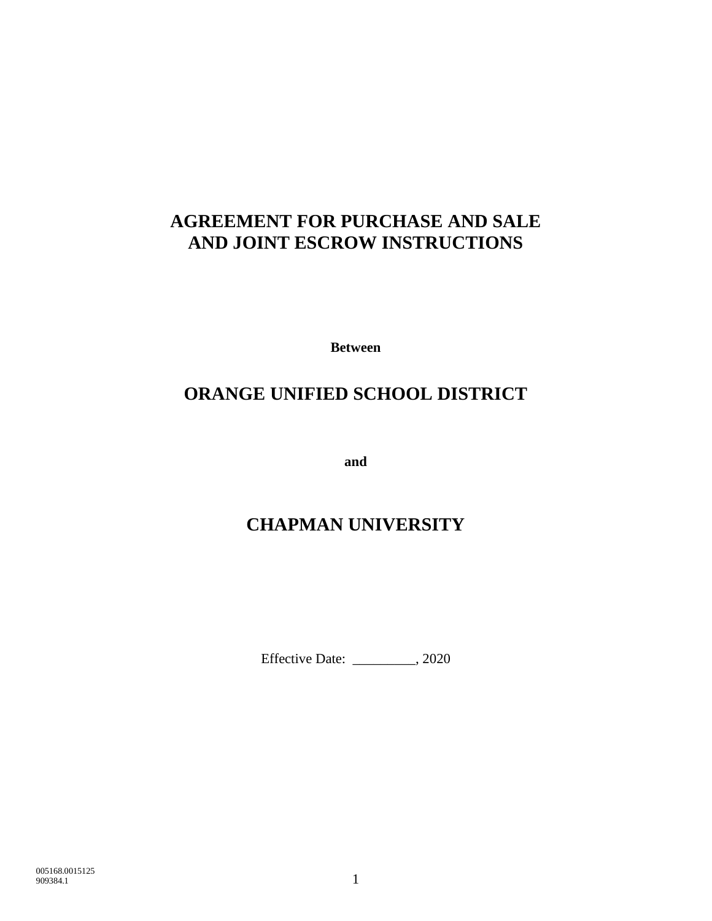# **AGREEMENT FOR PURCHASE AND SALE AND JOINT ESCROW INSTRUCTIONS**

**Between**

# **ORANGE UNIFIED SCHOOL DISTRICT**

**and**

# **CHAPMAN UNIVERSITY**

Effective Date: \_\_\_\_\_\_\_\_\_, 2020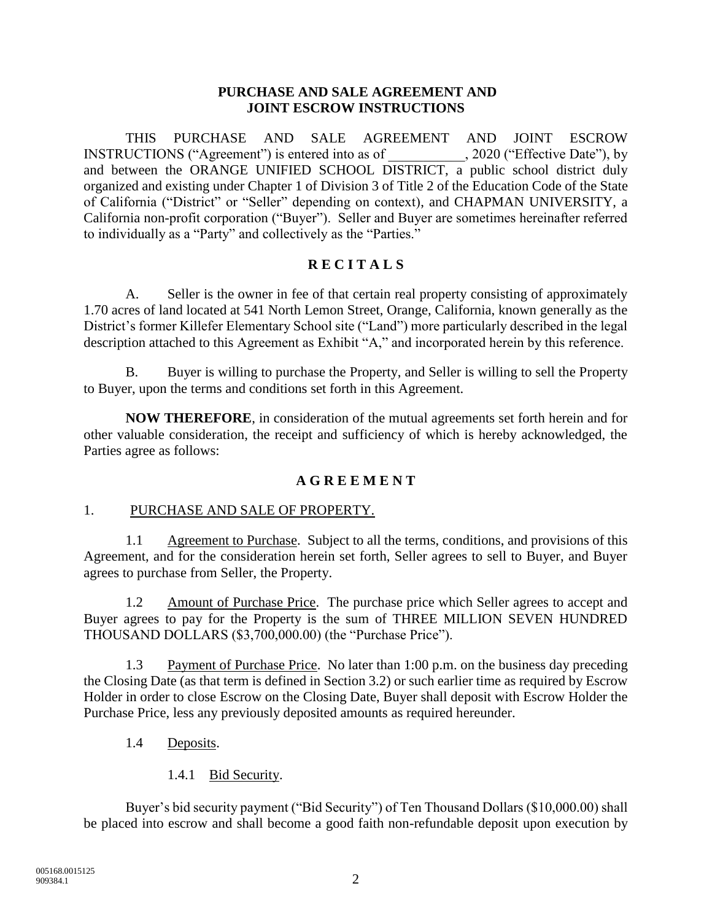### **PURCHASE AND SALE AGREEMENT AND JOINT ESCROW INSTRUCTIONS**

THIS PURCHASE AND SALE AGREEMENT AND JOINT ESCROW INSTRUCTIONS ("Agreement") is entered into as of \_\_\_\_\_\_\_\_\_\_\_, 2020 ("Effective Date"), by and between the ORANGE UNIFIED SCHOOL DISTRICT, a public school district duly organized and existing under Chapter 1 of Division 3 of Title 2 of the Education Code of the State of California ("District" or "Seller" depending on context), and CHAPMAN UNIVERSITY, a California non-profit corporation ("Buyer"). Seller and Buyer are sometimes hereinafter referred to individually as a "Party" and collectively as the "Parties."

## **R E C I T A L S**

A. Seller is the owner in fee of that certain real property consisting of approximately 1.70 acres of land located at 541 North Lemon Street, Orange, California, known generally as the District's former Killefer Elementary School site ("Land") more particularly described in the legal description attached to this Agreement as Exhibit "A," and incorporated herein by this reference.

B. Buyer is willing to purchase the Property, and Seller is willing to sell the Property to Buyer, upon the terms and conditions set forth in this Agreement.

**NOW THEREFORE**, in consideration of the mutual agreements set forth herein and for other valuable consideration, the receipt and sufficiency of which is hereby acknowledged, the Parties agree as follows:

### **A G R E E M E N T**

### 1. PURCHASE AND SALE OF PROPERTY.

1.1 Agreement to Purchase. Subject to all the terms, conditions, and provisions of this Agreement, and for the consideration herein set forth, Seller agrees to sell to Buyer, and Buyer agrees to purchase from Seller, the Property.

1.2 Amount of Purchase Price. The purchase price which Seller agrees to accept and Buyer agrees to pay for the Property is the sum of THREE MILLION SEVEN HUNDRED THOUSAND DOLLARS (\$3,700,000.00) (the "Purchase Price").

1.3 Payment of Purchase Price. No later than 1:00 p.m. on the business day preceding the Closing Date (as that term is defined in Section 3.2) or such earlier time as required by Escrow Holder in order to close Escrow on the Closing Date, Buyer shall deposit with Escrow Holder the Purchase Price, less any previously deposited amounts as required hereunder.

- 1.4 Deposits.
	- 1.4.1 Bid Security.

Buyer's bid security payment ("Bid Security") of Ten Thousand Dollars (\$10,000.00) shall be placed into escrow and shall become a good faith non-refundable deposit upon execution by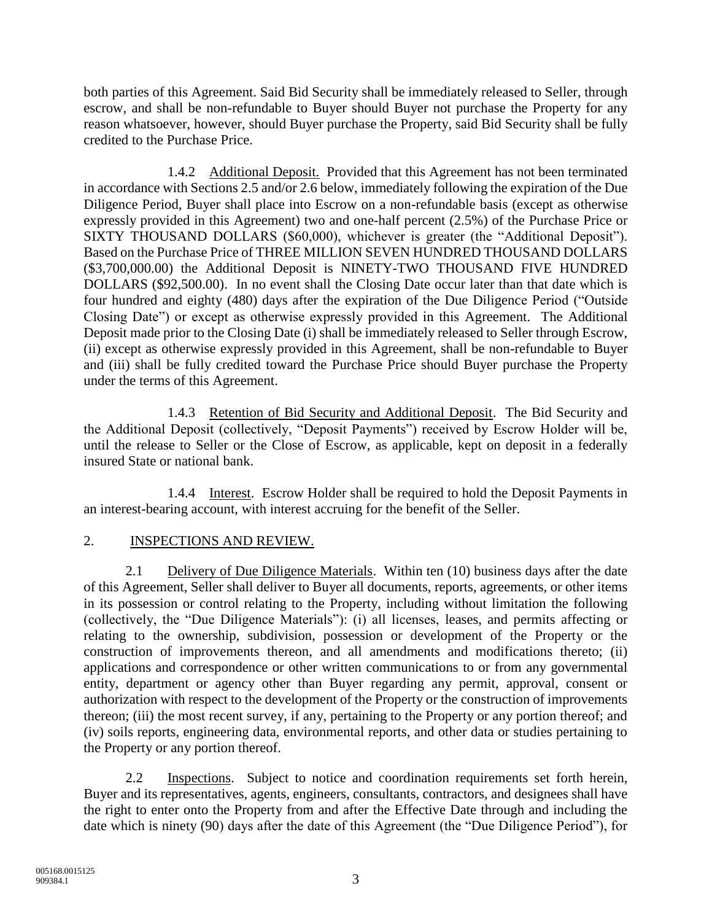both parties of this Agreement. Said Bid Security shall be immediately released to Seller, through escrow, and shall be non-refundable to Buyer should Buyer not purchase the Property for any reason whatsoever, however, should Buyer purchase the Property, said Bid Security shall be fully credited to the Purchase Price.

1.4.2 Additional Deposit. Provided that this Agreement has not been terminated in accordance with Sections 2.5 and/or 2.6 below, immediately following the expiration of the Due Diligence Period, Buyer shall place into Escrow on a non-refundable basis (except as otherwise expressly provided in this Agreement) two and one-half percent (2.5%) of the Purchase Price or SIXTY THOUSAND DOLLARS (\$60,000), whichever is greater (the "Additional Deposit"). Based on the Purchase Price of THREE MILLION SEVEN HUNDRED THOUSAND DOLLARS (\$3,700,000.00) the Additional Deposit is NINETY-TWO THOUSAND FIVE HUNDRED DOLLARS (\$92,500.00). In no event shall the Closing Date occur later than that date which is four hundred and eighty (480) days after the expiration of the Due Diligence Period ("Outside Closing Date") or except as otherwise expressly provided in this Agreement. The Additional Deposit made prior to the Closing Date (i) shall be immediately released to Seller through Escrow, (ii) except as otherwise expressly provided in this Agreement, shall be non-refundable to Buyer and (iii) shall be fully credited toward the Purchase Price should Buyer purchase the Property under the terms of this Agreement.

1.4.3 Retention of Bid Security and Additional Deposit. The Bid Security and the Additional Deposit (collectively, "Deposit Payments") received by Escrow Holder will be, until the release to Seller or the Close of Escrow, as applicable, kept on deposit in a federally insured State or national bank.

1.4.4 Interest. Escrow Holder shall be required to hold the Deposit Payments in an interest-bearing account, with interest accruing for the benefit of the Seller.

# 2. INSPECTIONS AND REVIEW.

2.1 Delivery of Due Diligence Materials. Within ten (10) business days after the date of this Agreement, Seller shall deliver to Buyer all documents, reports, agreements, or other items in its possession or control relating to the Property, including without limitation the following (collectively, the "Due Diligence Materials"): (i) all licenses, leases, and permits affecting or relating to the ownership, subdivision, possession or development of the Property or the construction of improvements thereon, and all amendments and modifications thereto; (ii) applications and correspondence or other written communications to or from any governmental entity, department or agency other than Buyer regarding any permit, approval, consent or authorization with respect to the development of the Property or the construction of improvements thereon; (iii) the most recent survey, if any, pertaining to the Property or any portion thereof; and (iv) soils reports, engineering data, environmental reports, and other data or studies pertaining to the Property or any portion thereof.

2.2 Inspections. Subject to notice and coordination requirements set forth herein, Buyer and its representatives, agents, engineers, consultants, contractors, and designees shall have the right to enter onto the Property from and after the Effective Date through and including the date which is ninety (90) days after the date of this Agreement (the "Due Diligence Period"), for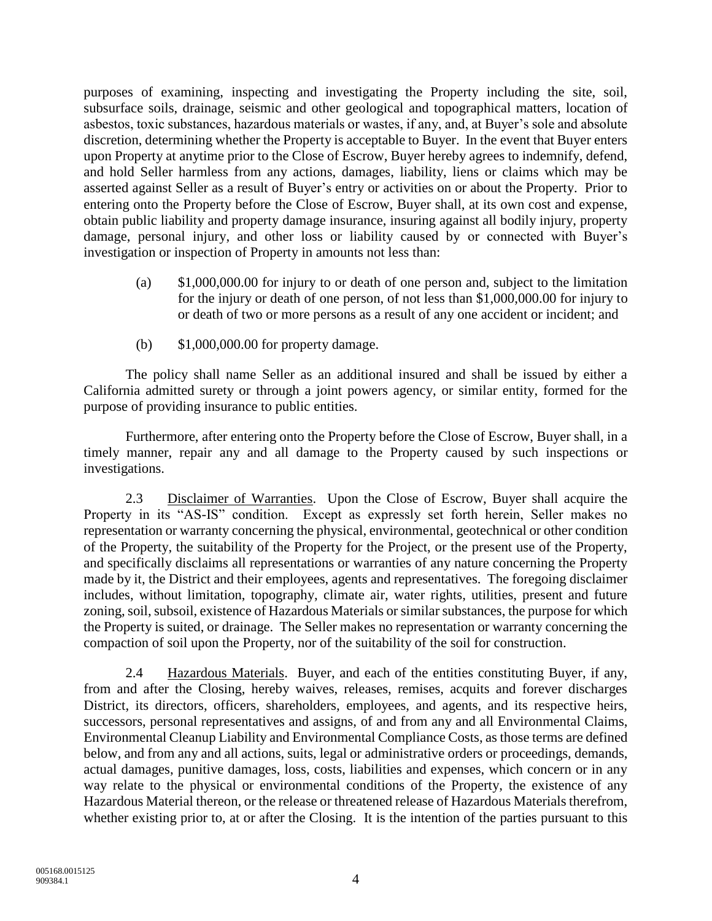purposes of examining, inspecting and investigating the Property including the site, soil, subsurface soils, drainage, seismic and other geological and topographical matters, location of asbestos, toxic substances, hazardous materials or wastes, if any, and, at Buyer's sole and absolute discretion, determining whether the Property is acceptable to Buyer. In the event that Buyer enters upon Property at anytime prior to the Close of Escrow, Buyer hereby agrees to indemnify, defend, and hold Seller harmless from any actions, damages, liability, liens or claims which may be asserted against Seller as a result of Buyer's entry or activities on or about the Property. Prior to entering onto the Property before the Close of Escrow, Buyer shall, at its own cost and expense, obtain public liability and property damage insurance, insuring against all bodily injury, property damage, personal injury, and other loss or liability caused by or connected with Buyer's investigation or inspection of Property in amounts not less than:

- (a) \$1,000,000.00 for injury to or death of one person and, subject to the limitation for the injury or death of one person, of not less than \$1,000,000.00 for injury to or death of two or more persons as a result of any one accident or incident; and
- (b) \$1,000,000.00 for property damage.

The policy shall name Seller as an additional insured and shall be issued by either a California admitted surety or through a joint powers agency, or similar entity, formed for the purpose of providing insurance to public entities.

Furthermore, after entering onto the Property before the Close of Escrow, Buyer shall, in a timely manner, repair any and all damage to the Property caused by such inspections or investigations.

2.3 Disclaimer of Warranties. Upon the Close of Escrow, Buyer shall acquire the Property in its "AS-IS" condition. Except as expressly set forth herein, Seller makes no representation or warranty concerning the physical, environmental, geotechnical or other condition of the Property, the suitability of the Property for the Project, or the present use of the Property, and specifically disclaims all representations or warranties of any nature concerning the Property made by it, the District and their employees, agents and representatives. The foregoing disclaimer includes, without limitation, topography, climate air, water rights, utilities, present and future zoning, soil, subsoil, existence of Hazardous Materials or similar substances, the purpose for which the Property is suited, or drainage. The Seller makes no representation or warranty concerning the compaction of soil upon the Property, nor of the suitability of the soil for construction.

2.4 Hazardous Materials. Buyer, and each of the entities constituting Buyer, if any, from and after the Closing, hereby waives, releases, remises, acquits and forever discharges District, its directors, officers, shareholders, employees, and agents, and its respective heirs, successors, personal representatives and assigns, of and from any and all Environmental Claims, Environmental Cleanup Liability and Environmental Compliance Costs, as those terms are defined below, and from any and all actions, suits, legal or administrative orders or proceedings, demands, actual damages, punitive damages, loss, costs, liabilities and expenses, which concern or in any way relate to the physical or environmental conditions of the Property, the existence of any Hazardous Material thereon, or the release or threatened release of Hazardous Materials therefrom, whether existing prior to, at or after the Closing. It is the intention of the parties pursuant to this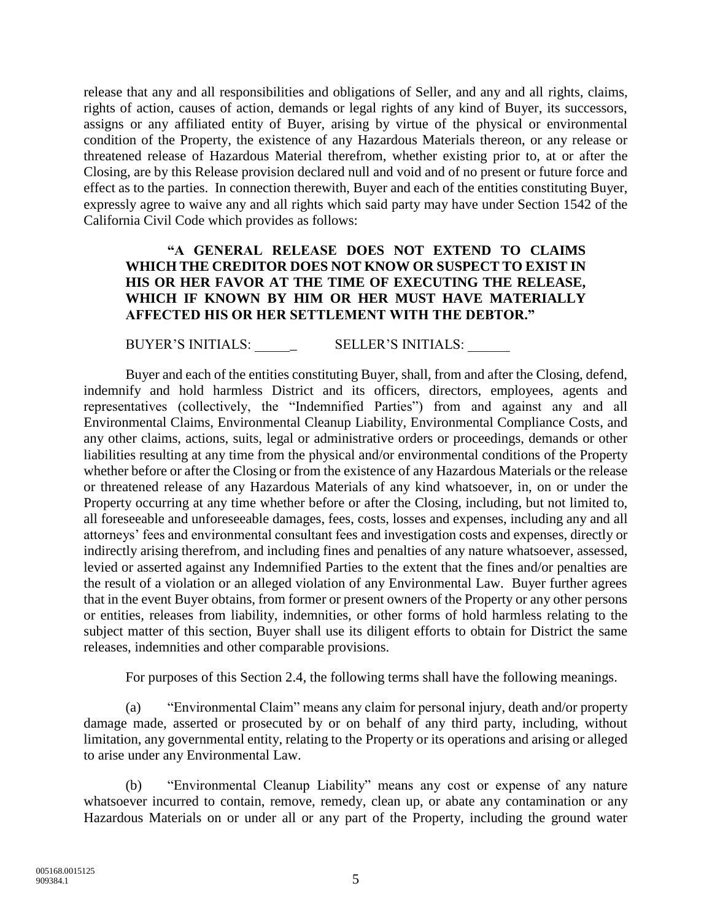release that any and all responsibilities and obligations of Seller, and any and all rights, claims, rights of action, causes of action, demands or legal rights of any kind of Buyer, its successors, assigns or any affiliated entity of Buyer, arising by virtue of the physical or environmental condition of the Property, the existence of any Hazardous Materials thereon, or any release or threatened release of Hazardous Material therefrom, whether existing prior to, at or after the Closing, are by this Release provision declared null and void and of no present or future force and effect as to the parties. In connection therewith, Buyer and each of the entities constituting Buyer, expressly agree to waive any and all rights which said party may have under Section 1542 of the California Civil Code which provides as follows:

### **"A GENERAL RELEASE DOES NOT EXTEND TO CLAIMS WHICH THE CREDITOR DOES NOT KNOW OR SUSPECT TO EXIST IN HIS OR HER FAVOR AT THE TIME OF EXECUTING THE RELEASE, WHICH IF KNOWN BY HIM OR HER MUST HAVE MATERIALLY AFFECTED HIS OR HER SETTLEMENT WITH THE DEBTOR."**

BUYER'S INITIALS: \_\_\_\_\_\_ SELLER'S INITIALS: \_\_\_\_\_\_

Buyer and each of the entities constituting Buyer, shall, from and after the Closing, defend, indemnify and hold harmless District and its officers, directors, employees, agents and representatives (collectively, the "Indemnified Parties") from and against any and all Environmental Claims, Environmental Cleanup Liability, Environmental Compliance Costs, and any other claims, actions, suits, legal or administrative orders or proceedings, demands or other liabilities resulting at any time from the physical and/or environmental conditions of the Property whether before or after the Closing or from the existence of any Hazardous Materials or the release or threatened release of any Hazardous Materials of any kind whatsoever, in, on or under the Property occurring at any time whether before or after the Closing, including, but not limited to, all foreseeable and unforeseeable damages, fees, costs, losses and expenses, including any and all attorneys' fees and environmental consultant fees and investigation costs and expenses, directly or indirectly arising therefrom, and including fines and penalties of any nature whatsoever, assessed, levied or asserted against any Indemnified Parties to the extent that the fines and/or penalties are the result of a violation or an alleged violation of any Environmental Law. Buyer further agrees that in the event Buyer obtains, from former or present owners of the Property or any other persons or entities, releases from liability, indemnities, or other forms of hold harmless relating to the subject matter of this section, Buyer shall use its diligent efforts to obtain for District the same releases, indemnities and other comparable provisions.

For purposes of this Section 2.4, the following terms shall have the following meanings.

(a) "Environmental Claim" means any claim for personal injury, death and/or property damage made, asserted or prosecuted by or on behalf of any third party, including, without limitation, any governmental entity, relating to the Property or its operations and arising or alleged to arise under any Environmental Law.

(b) "Environmental Cleanup Liability" means any cost or expense of any nature whatsoever incurred to contain, remove, remedy, clean up, or abate any contamination or any Hazardous Materials on or under all or any part of the Property, including the ground water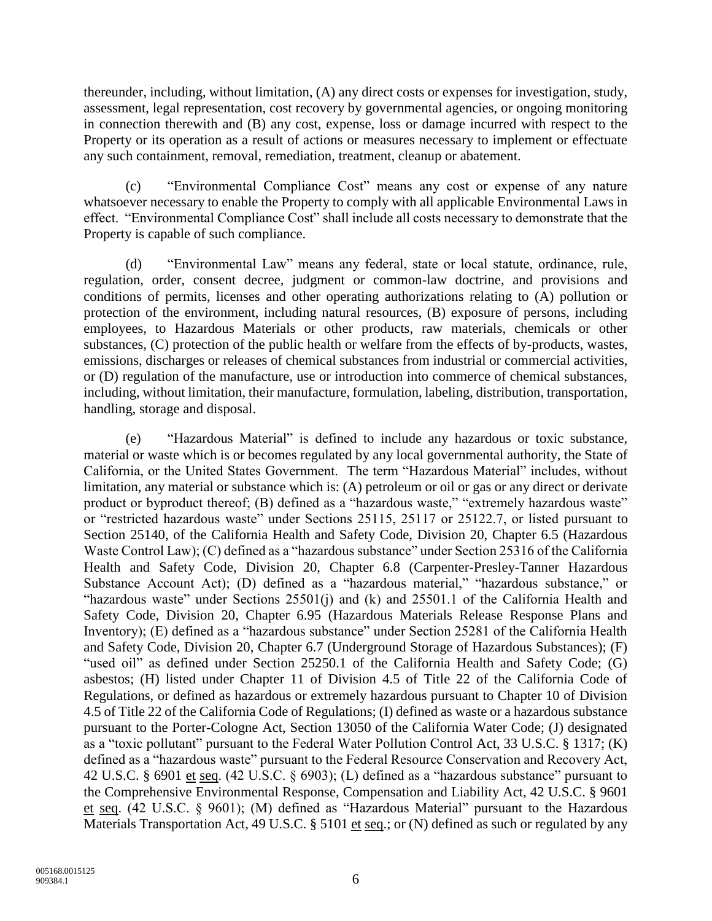thereunder, including, without limitation, (A) any direct costs or expenses for investigation, study, assessment, legal representation, cost recovery by governmental agencies, or ongoing monitoring in connection therewith and (B) any cost, expense, loss or damage incurred with respect to the Property or its operation as a result of actions or measures necessary to implement or effectuate any such containment, removal, remediation, treatment, cleanup or abatement.

(c) "Environmental Compliance Cost" means any cost or expense of any nature whatsoever necessary to enable the Property to comply with all applicable Environmental Laws in effect. "Environmental Compliance Cost" shall include all costs necessary to demonstrate that the Property is capable of such compliance.

(d) "Environmental Law" means any federal, state or local statute, ordinance, rule, regulation, order, consent decree, judgment or common-law doctrine, and provisions and conditions of permits, licenses and other operating authorizations relating to (A) pollution or protection of the environment, including natural resources, (B) exposure of persons, including employees, to Hazardous Materials or other products, raw materials, chemicals or other substances, (C) protection of the public health or welfare from the effects of by-products, wastes, emissions, discharges or releases of chemical substances from industrial or commercial activities, or (D) regulation of the manufacture, use or introduction into commerce of chemical substances, including, without limitation, their manufacture, formulation, labeling, distribution, transportation, handling, storage and disposal.

(e) "Hazardous Material" is defined to include any hazardous or toxic substance, material or waste which is or becomes regulated by any local governmental authority, the State of California, or the United States Government. The term "Hazardous Material" includes, without limitation, any material or substance which is: (A) petroleum or oil or gas or any direct or derivate product or byproduct thereof; (B) defined as a "hazardous waste," "extremely hazardous waste" or "restricted hazardous waste" under Sections 25115, 25117 or 25122.7, or listed pursuant to Section 25140, of the California Health and Safety Code, Division 20, Chapter 6.5 (Hazardous Waste Control Law); (C) defined as a "hazardous substance" under Section 25316 of the California Health and Safety Code, Division 20, Chapter 6.8 (Carpenter-Presley-Tanner Hazardous Substance Account Act); (D) defined as a "hazardous material," "hazardous substance," or "hazardous waste" under Sections 25501(j) and (k) and 25501.1 of the California Health and Safety Code, Division 20, Chapter 6.95 (Hazardous Materials Release Response Plans and Inventory); (E) defined as a "hazardous substance" under Section 25281 of the California Health and Safety Code, Division 20, Chapter 6.7 (Underground Storage of Hazardous Substances); (F) "used oil" as defined under Section 25250.1 of the California Health and Safety Code; (G) asbestos; (H) listed under Chapter 11 of Division 4.5 of Title 22 of the California Code of Regulations, or defined as hazardous or extremely hazardous pursuant to Chapter 10 of Division 4.5 of Title 22 of the California Code of Regulations; (I) defined as waste or a hazardous substance pursuant to the Porter-Cologne Act, Section 13050 of the California Water Code; (J) designated as a "toxic pollutant" pursuant to the Federal Water Pollution Control Act, 33 U.S.C. § 1317; (K) defined as a "hazardous waste" pursuant to the Federal Resource Conservation and Recovery Act, 42 U.S.C. § 6901 et seq. (42 U.S.C. § 6903); (L) defined as a "hazardous substance" pursuant to the Comprehensive Environmental Response, Compensation and Liability Act, 42 U.S.C. § 9601 et seq. (42 U.S.C. § 9601); (M) defined as "Hazardous Material" pursuant to the Hazardous Materials Transportation Act, 49 U.S.C. § 5101 et seq.; or (N) defined as such or regulated by any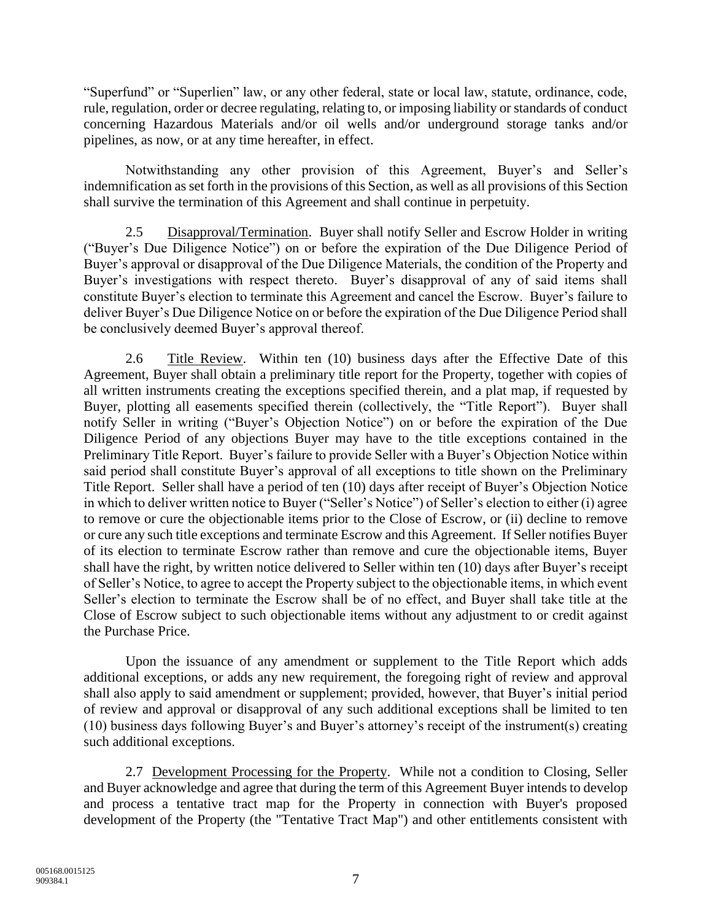"Superfund" or "Superlien" law, or any other federal, state or local law, statute, ordinance, code, rule, regulation, order or decree regulating, relating to, or imposing liability or standards of conduct concerning Hazardous Materials and/or oil wells and/or underground storage tanks and/or pipelines, as now, or at any time hereafter, in effect.

Notwithstanding any other provision of this Agreement, Buyer's and Seller's indemnification as set forth in the provisions of this Section, as well as all provisions of this Section shall survive the termination of this Agreement and shall continue in perpetuity.

2.5 Disapproval/Termination. Buyer shall notify Seller and Escrow Holder in writing ("Buyer's Due Diligence Notice") on or before the expiration of the Due Diligence Period of Buyer's approval or disapproval of the Due Diligence Materials, the condition of the Property and Buyer's investigations with respect thereto. Buyer's disapproval of any of said items shall constitute Buyer's election to terminate this Agreement and cancel the Escrow. Buyer's failure to deliver Buyer's Due Diligence Notice on or before the expiration of the Due Diligence Period shall be conclusively deemed Buyer's approval thereof.

2.6 Title Review. Within ten (10) business days after the Effective Date of this Agreement, Buyer shall obtain a preliminary title report for the Property, together with copies of all written instruments creating the exceptions specified therein, and a plat map, if requested by Buyer, plotting all easements specified therein (collectively, the "Title Report"). Buyer shall notify Seller in writing ("Buyer's Objection Notice") on or before the expiration of the Due Diligence Period of any objections Buyer may have to the title exceptions contained in the Preliminary Title Report. Buyer's failure to provide Seller with a Buyer's Objection Notice within said period shall constitute Buyer's approval of all exceptions to title shown on the Preliminary Title Report. Seller shall have a period of ten (10) days after receipt of Buyer's Objection Notice in which to deliver written notice to Buyer ("Seller's Notice") of Seller's election to either (i) agree to remove or cure the objectionable items prior to the Close of Escrow, or (ii) decline to remove or cure any such title exceptions and terminate Escrow and this Agreement. If Seller notifies Buyer of its election to terminate Escrow rather than remove and cure the objectionable items, Buyer shall have the right, by written notice delivered to Seller within ten (10) days after Buyer's receipt of Seller's Notice, to agree to accept the Property subject to the objectionable items, in which event Seller's election to terminate the Escrow shall be of no effect, and Buyer shall take title at the Close of Escrow subject to such objectionable items without any adjustment to or credit against the Purchase Price.

Upon the issuance of any amendment or supplement to the Title Report which adds additional exceptions, or adds any new requirement, the foregoing right of review and approval shall also apply to said amendment or supplement; provided, however, that Buyer's initial period of review and approval or disapproval of any such additional exceptions shall be limited to ten (10) business days following Buyer's and Buyer's attorney's receipt of the instrument(s) creating such additional exceptions.

2.7 Development Processing for the Property. While not a condition to Closing, Seller and Buyer acknowledge and agree that during the term of this Agreement Buyer intends to develop and process a tentative tract map for the Property in connection with Buyer's proposed development of the Property (the "Tentative Tract Map") and other entitlements consistent with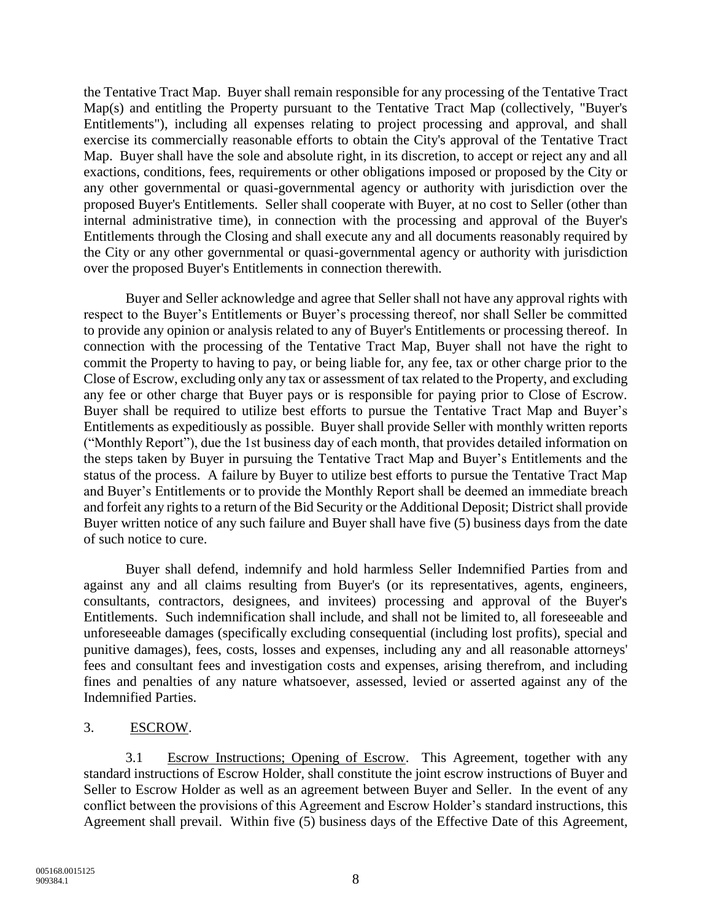the Tentative Tract Map. Buyer shall remain responsible for any processing of the Tentative Tract Map(s) and entitling the Property pursuant to the Tentative Tract Map (collectively, "Buyer's Entitlements"), including all expenses relating to project processing and approval, and shall exercise its commercially reasonable efforts to obtain the City's approval of the Tentative Tract Map. Buyer shall have the sole and absolute right, in its discretion, to accept or reject any and all exactions, conditions, fees, requirements or other obligations imposed or proposed by the City or any other governmental or quasi-governmental agency or authority with jurisdiction over the proposed Buyer's Entitlements. Seller shall cooperate with Buyer, at no cost to Seller (other than internal administrative time), in connection with the processing and approval of the Buyer's Entitlements through the Closing and shall execute any and all documents reasonably required by the City or any other governmental or quasi-governmental agency or authority with jurisdiction over the proposed Buyer's Entitlements in connection therewith.

Buyer and Seller acknowledge and agree that Seller shall not have any approval rights with respect to the Buyer's Entitlements or Buyer's processing thereof, nor shall Seller be committed to provide any opinion or analysis related to any of Buyer's Entitlements or processing thereof. In connection with the processing of the Tentative Tract Map, Buyer shall not have the right to commit the Property to having to pay, or being liable for, any fee, tax or other charge prior to the Close of Escrow, excluding only any tax or assessment of tax related to the Property, and excluding any fee or other charge that Buyer pays or is responsible for paying prior to Close of Escrow. Buyer shall be required to utilize best efforts to pursue the Tentative Tract Map and Buyer's Entitlements as expeditiously as possible. Buyer shall provide Seller with monthly written reports ("Monthly Report"), due the 1st business day of each month, that provides detailed information on the steps taken by Buyer in pursuing the Tentative Tract Map and Buyer's Entitlements and the status of the process. A failure by Buyer to utilize best efforts to pursue the Tentative Tract Map and Buyer's Entitlements or to provide the Monthly Report shall be deemed an immediate breach and forfeit any rights to a return of the Bid Security or the Additional Deposit; District shall provide Buyer written notice of any such failure and Buyer shall have five (5) business days from the date of such notice to cure.

Buyer shall defend, indemnify and hold harmless Seller Indemnified Parties from and against any and all claims resulting from Buyer's (or its representatives, agents, engineers, consultants, contractors, designees, and invitees) processing and approval of the Buyer's Entitlements. Such indemnification shall include, and shall not be limited to, all foreseeable and unforeseeable damages (specifically excluding consequential (including lost profits), special and punitive damages), fees, costs, losses and expenses, including any and all reasonable attorneys' fees and consultant fees and investigation costs and expenses, arising therefrom, and including fines and penalties of any nature whatsoever, assessed, levied or asserted against any of the Indemnified Parties.

### 3. ESCROW.

3.1 Escrow Instructions; Opening of Escrow. This Agreement, together with any standard instructions of Escrow Holder, shall constitute the joint escrow instructions of Buyer and Seller to Escrow Holder as well as an agreement between Buyer and Seller. In the event of any conflict between the provisions of this Agreement and Escrow Holder's standard instructions, this Agreement shall prevail. Within five (5) business days of the Effective Date of this Agreement,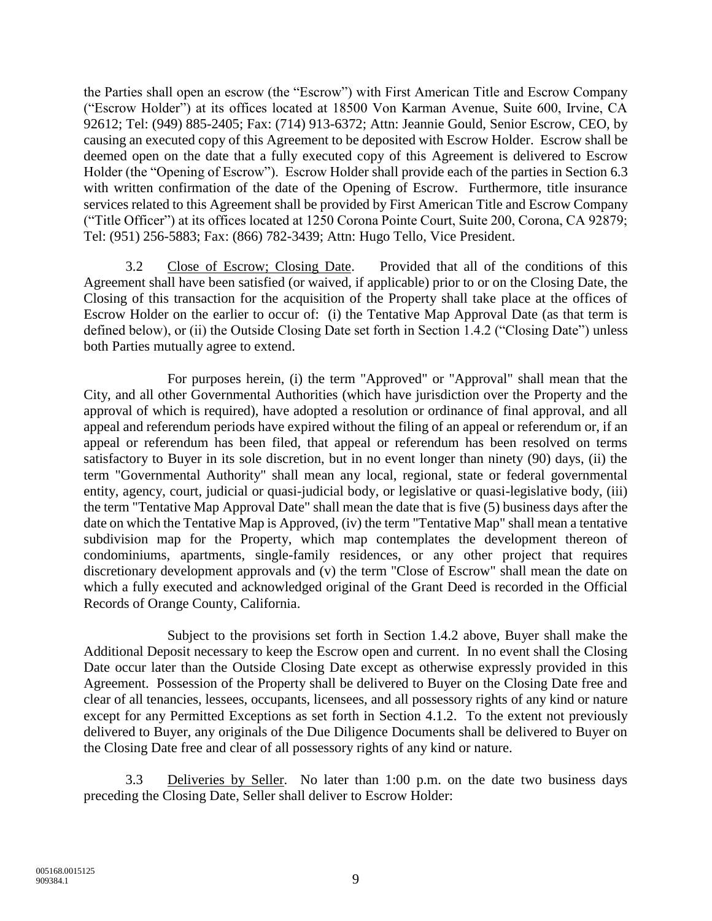the Parties shall open an escrow (the "Escrow") with First American Title and Escrow Company ("Escrow Holder") at its offices located at 18500 Von Karman Avenue, Suite 600, Irvine, CA 92612; Tel: (949) 885-2405; Fax: (714) 913-6372; Attn: Jeannie Gould, Senior Escrow, CEO, by causing an executed copy of this Agreement to be deposited with Escrow Holder. Escrow shall be deemed open on the date that a fully executed copy of this Agreement is delivered to Escrow Holder (the "Opening of Escrow"). Escrow Holder shall provide each of the parties in Section 6.3 with written confirmation of the date of the Opening of Escrow. Furthermore, title insurance services related to this Agreement shall be provided by First American Title and Escrow Company ("Title Officer") at its offices located at 1250 Corona Pointe Court, Suite 200, Corona, CA 92879; Tel: (951) 256-5883; Fax: (866) 782-3439; Attn: Hugo Tello, Vice President.

3.2 Close of Escrow; Closing Date. Provided that all of the conditions of this Agreement shall have been satisfied (or waived, if applicable) prior to or on the Closing Date, the Closing of this transaction for the acquisition of the Property shall take place at the offices of Escrow Holder on the earlier to occur of: (i) the Tentative Map Approval Date (as that term is defined below), or (ii) the Outside Closing Date set forth in Section 1.4.2 ("Closing Date") unless both Parties mutually agree to extend.

For purposes herein, (i) the term "Approved" or "Approval" shall mean that the City, and all other Governmental Authorities (which have jurisdiction over the Property and the approval of which is required), have adopted a resolution or ordinance of final approval, and all appeal and referendum periods have expired without the filing of an appeal or referendum or, if an appeal or referendum has been filed, that appeal or referendum has been resolved on terms satisfactory to Buyer in its sole discretion, but in no event longer than ninety (90) days, (ii) the term "Governmental Authority" shall mean any local, regional, state or federal governmental entity, agency, court, judicial or quasi-judicial body, or legislative or quasi-legislative body, (iii) the term "Tentative Map Approval Date" shall mean the date that is five (5) business days after the date on which the Tentative Map is Approved, (iv) the term "Tentative Map" shall mean a tentative subdivision map for the Property, which map contemplates the development thereon of condominiums, apartments, single-family residences, or any other project that requires discretionary development approvals and (v) the term "Close of Escrow" shall mean the date on which a fully executed and acknowledged original of the Grant Deed is recorded in the Official Records of Orange County, California.

Subject to the provisions set forth in Section 1.4.2 above, Buyer shall make the Additional Deposit necessary to keep the Escrow open and current. In no event shall the Closing Date occur later than the Outside Closing Date except as otherwise expressly provided in this Agreement. Possession of the Property shall be delivered to Buyer on the Closing Date free and clear of all tenancies, lessees, occupants, licensees, and all possessory rights of any kind or nature except for any Permitted Exceptions as set forth in Section 4.1.2. To the extent not previously delivered to Buyer, any originals of the Due Diligence Documents shall be delivered to Buyer on the Closing Date free and clear of all possessory rights of any kind or nature.

3.3 Deliveries by Seller. No later than 1:00 p.m. on the date two business days preceding the Closing Date, Seller shall deliver to Escrow Holder: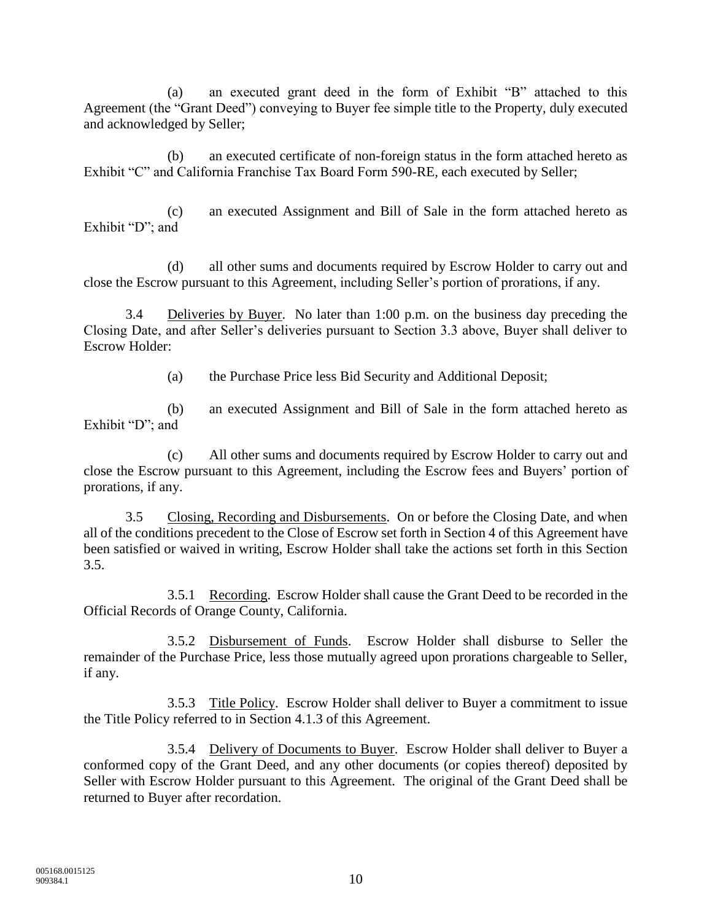(a) an executed grant deed in the form of Exhibit "B" attached to this Agreement (the "Grant Deed") conveying to Buyer fee simple title to the Property, duly executed and acknowledged by Seller;

(b) an executed certificate of non-foreign status in the form attached hereto as Exhibit "C" and California Franchise Tax Board Form 590-RE, each executed by Seller;

(c) an executed Assignment and Bill of Sale in the form attached hereto as Exhibit "D"; and

(d) all other sums and documents required by Escrow Holder to carry out and close the Escrow pursuant to this Agreement, including Seller's portion of prorations, if any.

3.4 Deliveries by Buyer. No later than 1:00 p.m. on the business day preceding the Closing Date, and after Seller's deliveries pursuant to Section 3.3 above, Buyer shall deliver to Escrow Holder:

(a) the Purchase Price less Bid Security and Additional Deposit;

(b) an executed Assignment and Bill of Sale in the form attached hereto as Exhibit "D"; and

(c) All other sums and documents required by Escrow Holder to carry out and close the Escrow pursuant to this Agreement, including the Escrow fees and Buyers' portion of prorations, if any.

3.5 Closing, Recording and Disbursements. On or before the Closing Date, and when all of the conditions precedent to the Close of Escrow set forth in Section 4 of this Agreement have been satisfied or waived in writing, Escrow Holder shall take the actions set forth in this Section 3.5.

3.5.1 Recording. Escrow Holder shall cause the Grant Deed to be recorded in the Official Records of Orange County, California.

3.5.2 Disbursement of Funds. Escrow Holder shall disburse to Seller the remainder of the Purchase Price, less those mutually agreed upon prorations chargeable to Seller, if any.

3.5.3 Title Policy. Escrow Holder shall deliver to Buyer a commitment to issue the Title Policy referred to in Section 4.1.3 of this Agreement.

3.5.4 Delivery of Documents to Buyer. Escrow Holder shall deliver to Buyer a conformed copy of the Grant Deed, and any other documents (or copies thereof) deposited by Seller with Escrow Holder pursuant to this Agreement. The original of the Grant Deed shall be returned to Buyer after recordation.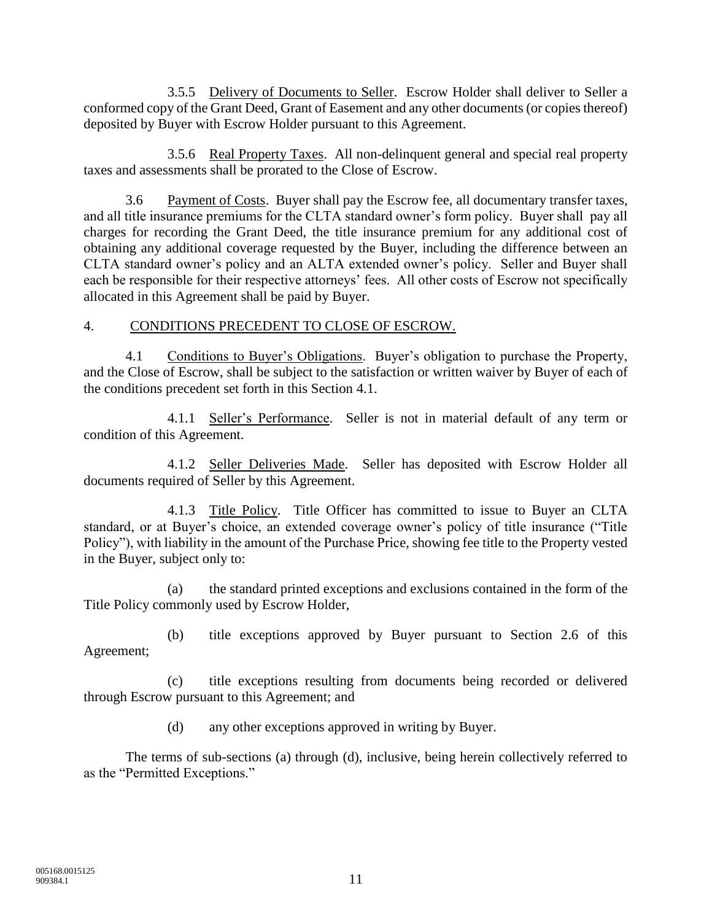3.5.5 Delivery of Documents to Seller. Escrow Holder shall deliver to Seller a conformed copy of the Grant Deed, Grant of Easement and any other documents (or copies thereof) deposited by Buyer with Escrow Holder pursuant to this Agreement.

3.5.6 Real Property Taxes. All non-delinquent general and special real property taxes and assessments shall be prorated to the Close of Escrow.

3.6 Payment of Costs. Buyer shall pay the Escrow fee, all documentary transfer taxes, and all title insurance premiums for the CLTA standard owner's form policy. Buyer shall pay all charges for recording the Grant Deed, the title insurance premium for any additional cost of obtaining any additional coverage requested by the Buyer, including the difference between an CLTA standard owner's policy and an ALTA extended owner's policy. Seller and Buyer shall each be responsible for their respective attorneys' fees. All other costs of Escrow not specifically allocated in this Agreement shall be paid by Buyer.

### 4. CONDITIONS PRECEDENT TO CLOSE OF ESCROW.

4.1 Conditions to Buyer's Obligations. Buyer's obligation to purchase the Property, and the Close of Escrow, shall be subject to the satisfaction or written waiver by Buyer of each of the conditions precedent set forth in this Section 4.1.

4.1.1 Seller's Performance. Seller is not in material default of any term or condition of this Agreement.

4.1.2 Seller Deliveries Made. Seller has deposited with Escrow Holder all documents required of Seller by this Agreement.

4.1.3 Title Policy. Title Officer has committed to issue to Buyer an CLTA standard, or at Buyer's choice, an extended coverage owner's policy of title insurance ("Title Policy"), with liability in the amount of the Purchase Price, showing fee title to the Property vested in the Buyer, subject only to:

(a) the standard printed exceptions and exclusions contained in the form of the Title Policy commonly used by Escrow Holder,

(b) title exceptions approved by Buyer pursuant to Section 2.6 of this Agreement;

(c) title exceptions resulting from documents being recorded or delivered through Escrow pursuant to this Agreement; and

(d) any other exceptions approved in writing by Buyer.

The terms of sub-sections (a) through (d), inclusive, being herein collectively referred to as the "Permitted Exceptions."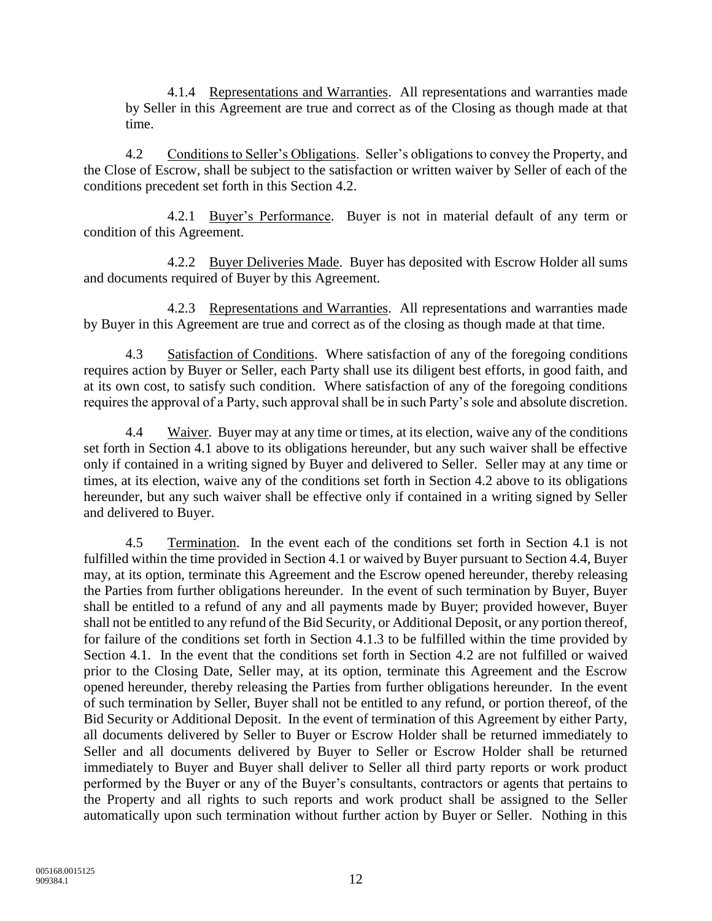4.1.4 Representations and Warranties. All representations and warranties made by Seller in this Agreement are true and correct as of the Closing as though made at that time.

4.2 Conditions to Seller's Obligations. Seller's obligations to convey the Property, and the Close of Escrow, shall be subject to the satisfaction or written waiver by Seller of each of the conditions precedent set forth in this Section 4.2.

4.2.1 Buyer's Performance. Buyer is not in material default of any term or condition of this Agreement.

4.2.2 Buyer Deliveries Made. Buyer has deposited with Escrow Holder all sums and documents required of Buyer by this Agreement.

4.2.3 Representations and Warranties. All representations and warranties made by Buyer in this Agreement are true and correct as of the closing as though made at that time.

4.3 Satisfaction of Conditions. Where satisfaction of any of the foregoing conditions requires action by Buyer or Seller, each Party shall use its diligent best efforts, in good faith, and at its own cost, to satisfy such condition. Where satisfaction of any of the foregoing conditions requires the approval of a Party, such approval shall be in such Party's sole and absolute discretion.

4.4 Waiver. Buyer may at any time or times, at its election, waive any of the conditions set forth in Section 4.1 above to its obligations hereunder, but any such waiver shall be effective only if contained in a writing signed by Buyer and delivered to Seller. Seller may at any time or times, at its election, waive any of the conditions set forth in Section 4.2 above to its obligations hereunder, but any such waiver shall be effective only if contained in a writing signed by Seller and delivered to Buyer.

4.5 Termination. In the event each of the conditions set forth in Section 4.1 is not fulfilled within the time provided in Section 4.1 or waived by Buyer pursuant to Section 4.4, Buyer may, at its option, terminate this Agreement and the Escrow opened hereunder, thereby releasing the Parties from further obligations hereunder. In the event of such termination by Buyer, Buyer shall be entitled to a refund of any and all payments made by Buyer; provided however, Buyer shall not be entitled to any refund of the Bid Security, or Additional Deposit, or any portion thereof, for failure of the conditions set forth in Section 4.1.3 to be fulfilled within the time provided by Section 4.1. In the event that the conditions set forth in Section 4.2 are not fulfilled or waived prior to the Closing Date, Seller may, at its option, terminate this Agreement and the Escrow opened hereunder, thereby releasing the Parties from further obligations hereunder. In the event of such termination by Seller, Buyer shall not be entitled to any refund, or portion thereof, of the Bid Security or Additional Deposit. In the event of termination of this Agreement by either Party, all documents delivered by Seller to Buyer or Escrow Holder shall be returned immediately to Seller and all documents delivered by Buyer to Seller or Escrow Holder shall be returned immediately to Buyer and Buyer shall deliver to Seller all third party reports or work product performed by the Buyer or any of the Buyer's consultants, contractors or agents that pertains to the Property and all rights to such reports and work product shall be assigned to the Seller automatically upon such termination without further action by Buyer or Seller. Nothing in this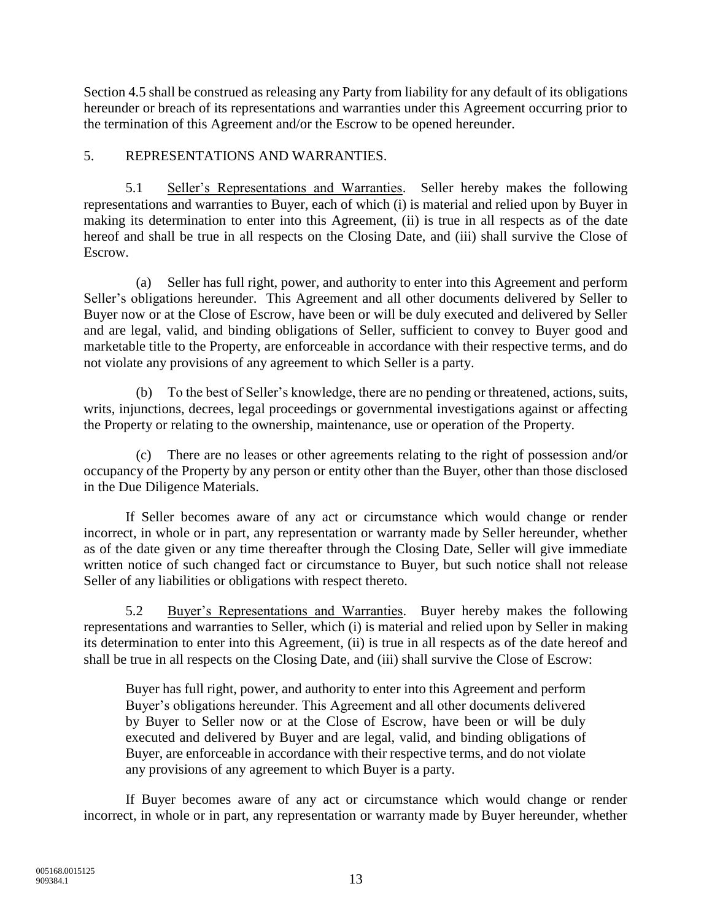Section 4.5 shall be construed as releasing any Party from liability for any default of its obligations hereunder or breach of its representations and warranties under this Agreement occurring prior to the termination of this Agreement and/or the Escrow to be opened hereunder.

## 5. REPRESENTATIONS AND WARRANTIES.

5.1 Seller's Representations and Warranties. Seller hereby makes the following representations and warranties to Buyer, each of which (i) is material and relied upon by Buyer in making its determination to enter into this Agreement, (ii) is true in all respects as of the date hereof and shall be true in all respects on the Closing Date, and (iii) shall survive the Close of Escrow.

(a) Seller has full right, power, and authority to enter into this Agreement and perform Seller's obligations hereunder. This Agreement and all other documents delivered by Seller to Buyer now or at the Close of Escrow, have been or will be duly executed and delivered by Seller and are legal, valid, and binding obligations of Seller, sufficient to convey to Buyer good and marketable title to the Property, are enforceable in accordance with their respective terms, and do not violate any provisions of any agreement to which Seller is a party.

(b) To the best of Seller's knowledge, there are no pending or threatened, actions, suits, writs, injunctions, decrees, legal proceedings or governmental investigations against or affecting the Property or relating to the ownership, maintenance, use or operation of the Property.

(c) There are no leases or other agreements relating to the right of possession and/or occupancy of the Property by any person or entity other than the Buyer, other than those disclosed in the Due Diligence Materials.

If Seller becomes aware of any act or circumstance which would change or render incorrect, in whole or in part, any representation or warranty made by Seller hereunder, whether as of the date given or any time thereafter through the Closing Date, Seller will give immediate written notice of such changed fact or circumstance to Buyer, but such notice shall not release Seller of any liabilities or obligations with respect thereto.

5.2 Buyer's Representations and Warranties. Buyer hereby makes the following representations and warranties to Seller, which (i) is material and relied upon by Seller in making its determination to enter into this Agreement, (ii) is true in all respects as of the date hereof and shall be true in all respects on the Closing Date, and (iii) shall survive the Close of Escrow:

Buyer has full right, power, and authority to enter into this Agreement and perform Buyer's obligations hereunder. This Agreement and all other documents delivered by Buyer to Seller now or at the Close of Escrow, have been or will be duly executed and delivered by Buyer and are legal, valid, and binding obligations of Buyer, are enforceable in accordance with their respective terms, and do not violate any provisions of any agreement to which Buyer is a party.

If Buyer becomes aware of any act or circumstance which would change or render incorrect, in whole or in part, any representation or warranty made by Buyer hereunder, whether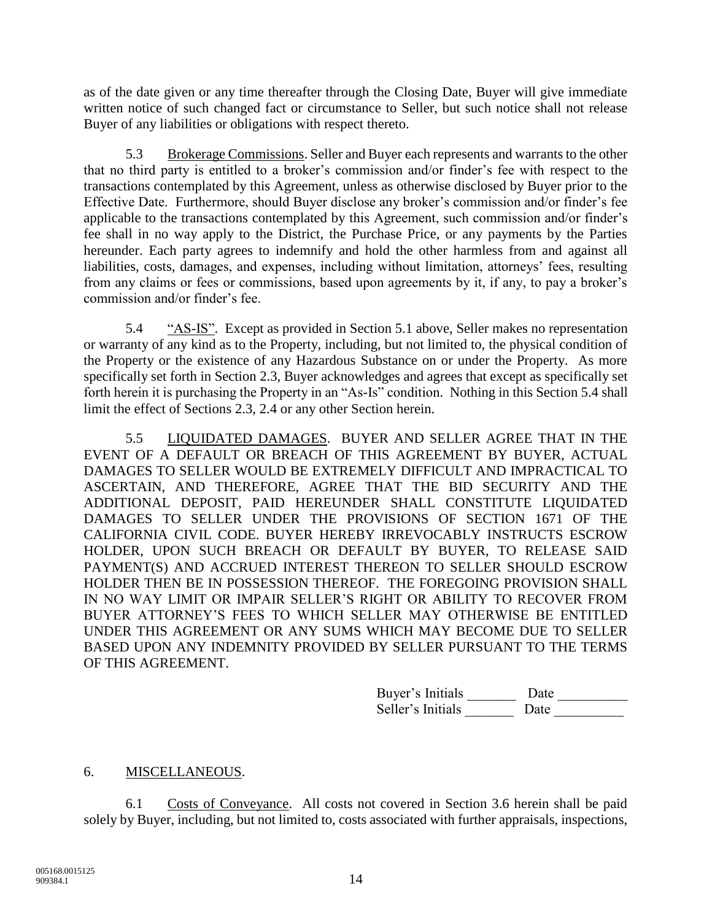as of the date given or any time thereafter through the Closing Date, Buyer will give immediate written notice of such changed fact or circumstance to Seller, but such notice shall not release Buyer of any liabilities or obligations with respect thereto.

5.3 Brokerage Commissions. Seller and Buyer each represents and warrants to the other that no third party is entitled to a broker's commission and/or finder's fee with respect to the transactions contemplated by this Agreement, unless as otherwise disclosed by Buyer prior to the Effective Date. Furthermore, should Buyer disclose any broker's commission and/or finder's fee applicable to the transactions contemplated by this Agreement, such commission and/or finder's fee shall in no way apply to the District, the Purchase Price, or any payments by the Parties hereunder. Each party agrees to indemnify and hold the other harmless from and against all liabilities, costs, damages, and expenses, including without limitation, attorneys' fees, resulting from any claims or fees or commissions, based upon agreements by it, if any, to pay a broker's commission and/or finder's fee.

5.4 "AS-IS". Except as provided in Section 5.1 above, Seller makes no representation or warranty of any kind as to the Property, including, but not limited to, the physical condition of the Property or the existence of any Hazardous Substance on or under the Property. As more specifically set forth in Section 2.3, Buyer acknowledges and agrees that except as specifically set forth herein it is purchasing the Property in an "As-Is" condition. Nothing in this Section 5.4 shall limit the effect of Sections 2.3, 2.4 or any other Section herein.

5.5 LIQUIDATED DAMAGES. BUYER AND SELLER AGREE THAT IN THE EVENT OF A DEFAULT OR BREACH OF THIS AGREEMENT BY BUYER, ACTUAL DAMAGES TO SELLER WOULD BE EXTREMELY DIFFICULT AND IMPRACTICAL TO ASCERTAIN, AND THEREFORE, AGREE THAT THE BID SECURITY AND THE ADDITIONAL DEPOSIT, PAID HEREUNDER SHALL CONSTITUTE LIQUIDATED DAMAGES TO SELLER UNDER THE PROVISIONS OF SECTION 1671 OF THE CALIFORNIA CIVIL CODE. BUYER HEREBY IRREVOCABLY INSTRUCTS ESCROW HOLDER, UPON SUCH BREACH OR DEFAULT BY BUYER, TO RELEASE SAID PAYMENT(S) AND ACCRUED INTEREST THEREON TO SELLER SHOULD ESCROW HOLDER THEN BE IN POSSESSION THEREOF. THE FOREGOING PROVISION SHALL IN NO WAY LIMIT OR IMPAIR SELLER'S RIGHT OR ABILITY TO RECOVER FROM BUYER ATTORNEY'S FEES TO WHICH SELLER MAY OTHERWISE BE ENTITLED UNDER THIS AGREEMENT OR ANY SUMS WHICH MAY BECOME DUE TO SELLER BASED UPON ANY INDEMNITY PROVIDED BY SELLER PURSUANT TO THE TERMS OF THIS AGREEMENT.

| Buyer's Initials  | Date |  |
|-------------------|------|--|
| Seller's Initials | Date |  |

# 6. MISCELLANEOUS.

6.1 Costs of Conveyance. All costs not covered in Section 3.6 herein shall be paid solely by Buyer, including, but not limited to, costs associated with further appraisals, inspections,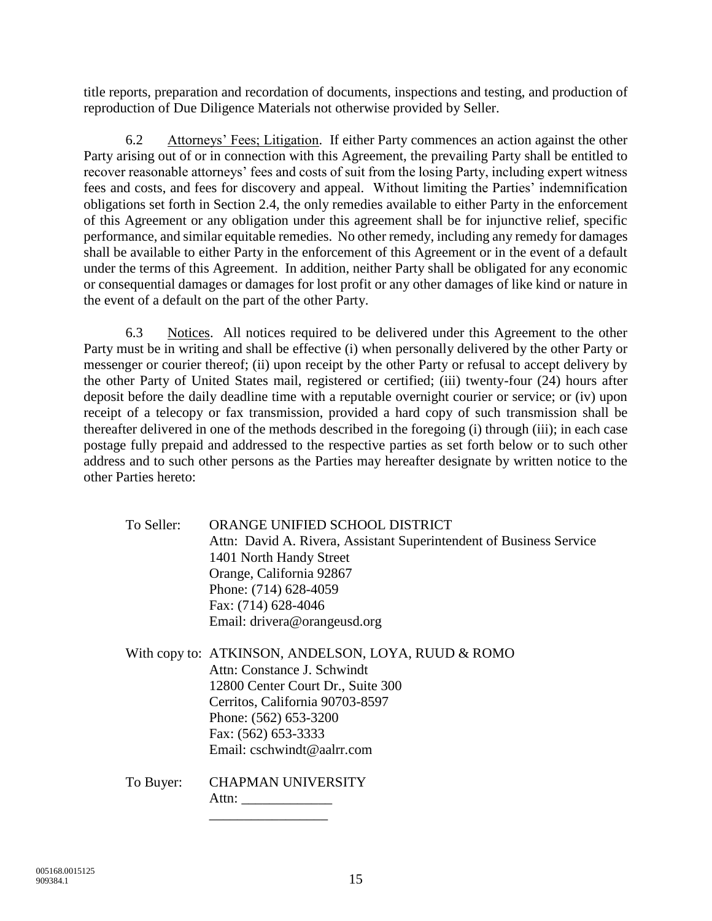title reports, preparation and recordation of documents, inspections and testing, and production of reproduction of Due Diligence Materials not otherwise provided by Seller.

6.2 Attorneys' Fees; Litigation. If either Party commences an action against the other Party arising out of or in connection with this Agreement, the prevailing Party shall be entitled to recover reasonable attorneys' fees and costs of suit from the losing Party, including expert witness fees and costs, and fees for discovery and appeal. Without limiting the Parties' indemnification obligations set forth in Section 2.4, the only remedies available to either Party in the enforcement of this Agreement or any obligation under this agreement shall be for injunctive relief, specific performance, and similar equitable remedies. No other remedy, including any remedy for damages shall be available to either Party in the enforcement of this Agreement or in the event of a default under the terms of this Agreement. In addition, neither Party shall be obligated for any economic or consequential damages or damages for lost profit or any other damages of like kind or nature in the event of a default on the part of the other Party.

6.3 Notices. All notices required to be delivered under this Agreement to the other Party must be in writing and shall be effective (i) when personally delivered by the other Party or messenger or courier thereof; (ii) upon receipt by the other Party or refusal to accept delivery by the other Party of United States mail, registered or certified; (iii) twenty-four (24) hours after deposit before the daily deadline time with a reputable overnight courier or service; or (iv) upon receipt of a telecopy or fax transmission, provided a hard copy of such transmission shall be thereafter delivered in one of the methods described in the foregoing (i) through (iii); in each case postage fully prepaid and addressed to the respective parties as set forth below or to such other address and to such other persons as the Parties may hereafter designate by written notice to the other Parties hereto:

| To Seller: | ORANGE UNIFIED SCHOOL DISTRICT<br>Attn: David A. Rivera, Assistant Superintendent of Business Service<br>1401 North Handy Street<br>Orange, California 92867<br>Phone: (714) 628-4059<br>Fax: (714) 628-4046<br>Email: drivera@orangeusd.org |
|------------|----------------------------------------------------------------------------------------------------------------------------------------------------------------------------------------------------------------------------------------------|
|            | With copy to: ATKINSON, ANDELSON, LOYA, RUUD & ROMO<br>Attn: Constance J. Schwindt<br>12800 Center Court Dr., Suite 300<br>Cerritos, California 90703-8597<br>Phone: (562) 653-3200<br>Fax: (562) 653-3333<br>Email: cschwindt@aalrr.com     |
| To Buyer:  | <b>CHAPMAN UNIVERSITY</b><br>Attn: $\qquad \qquad$                                                                                                                                                                                           |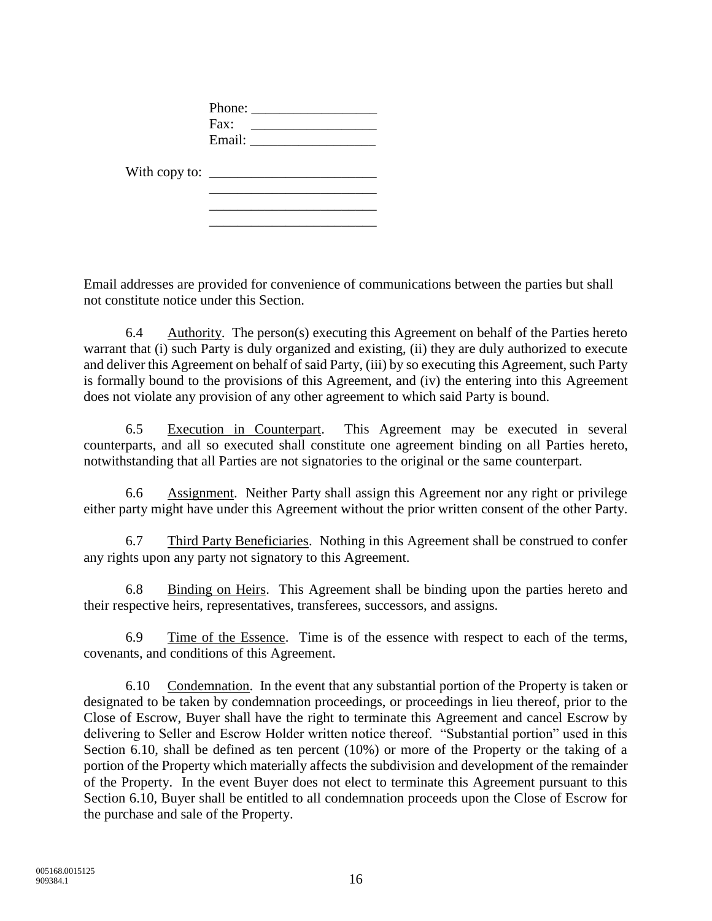|                                                                                       | Phone: $\frac{1}{\sqrt{1-\frac{1}{2}} \cdot \frac{1}{2}}$ |  |
|---------------------------------------------------------------------------------------|-----------------------------------------------------------|--|
|                                                                                       |                                                           |  |
|                                                                                       |                                                           |  |
| With copy to: $\sqrt{\frac{2}{1-\frac{1}{2}} \left(\frac{1}{2}-\frac{1}{2}\right)^2}$ |                                                           |  |
|                                                                                       |                                                           |  |
|                                                                                       |                                                           |  |

Email addresses are provided for convenience of communications between the parties but shall not constitute notice under this Section.

6.4 Authority. The person(s) executing this Agreement on behalf of the Parties hereto warrant that (i) such Party is duly organized and existing, (ii) they are duly authorized to execute and deliver this Agreement on behalf of said Party, (iii) by so executing this Agreement, such Party is formally bound to the provisions of this Agreement, and (iv) the entering into this Agreement does not violate any provision of any other agreement to which said Party is bound.

6.5 Execution in Counterpart. This Agreement may be executed in several counterparts, and all so executed shall constitute one agreement binding on all Parties hereto, notwithstanding that all Parties are not signatories to the original or the same counterpart.

6.6 Assignment. Neither Party shall assign this Agreement nor any right or privilege either party might have under this Agreement without the prior written consent of the other Party.

6.7 Third Party Beneficiaries. Nothing in this Agreement shall be construed to confer any rights upon any party not signatory to this Agreement.

6.8 Binding on Heirs. This Agreement shall be binding upon the parties hereto and their respective heirs, representatives, transferees, successors, and assigns.

6.9 Time of the Essence. Time is of the essence with respect to each of the terms, covenants, and conditions of this Agreement.

6.10 Condemnation. In the event that any substantial portion of the Property is taken or designated to be taken by condemnation proceedings, or proceedings in lieu thereof, prior to the Close of Escrow, Buyer shall have the right to terminate this Agreement and cancel Escrow by delivering to Seller and Escrow Holder written notice thereof. "Substantial portion" used in this Section 6.10, shall be defined as ten percent (10%) or more of the Property or the taking of a portion of the Property which materially affects the subdivision and development of the remainder of the Property. In the event Buyer does not elect to terminate this Agreement pursuant to this Section 6.10, Buyer shall be entitled to all condemnation proceeds upon the Close of Escrow for the purchase and sale of the Property.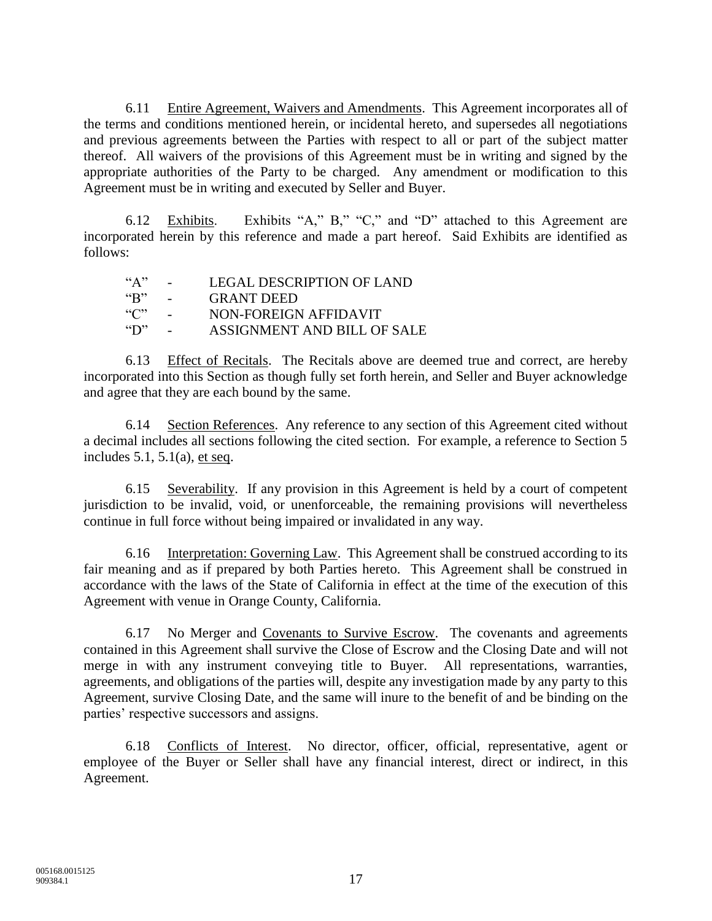6.11 Entire Agreement, Waivers and Amendments. This Agreement incorporates all of the terms and conditions mentioned herein, or incidental hereto, and supersedes all negotiations and previous agreements between the Parties with respect to all or part of the subject matter thereof. All waivers of the provisions of this Agreement must be in writing and signed by the appropriate authorities of the Party to be charged. Any amendment or modification to this Agreement must be in writing and executed by Seller and Buyer.

6.12 Exhibits. Exhibits "A," B," "C," and "D" attached to this Agreement are incorporated herein by this reference and made a part hereof. Said Exhibits are identified as follows:

| ``A"                        | $\sim$               | LEGAL DESCRIPTION OF LAND   |
|-----------------------------|----------------------|-----------------------------|
| $\mathbf{G}^{\prime\prime}$ | $\sim 100$ m $^{-1}$ | <b>GRANT DEED</b>           |
| $"C"$ -                     |                      | NON-FOREIGN AFFIDAVIT       |
| $\mathcal{L}$               | $\sim$               | ASSIGNMENT AND BILL OF SALE |

6.13 Effect of Recitals. The Recitals above are deemed true and correct, are hereby incorporated into this Section as though fully set forth herein, and Seller and Buyer acknowledge and agree that they are each bound by the same.

6.14 Section References. Any reference to any section of this Agreement cited without a decimal includes all sections following the cited section. For example, a reference to Section 5 includes  $5.1$ ,  $5.1(a)$ , et seq.

6.15 Severability. If any provision in this Agreement is held by a court of competent jurisdiction to be invalid, void, or unenforceable, the remaining provisions will nevertheless continue in full force without being impaired or invalidated in any way.

6.16 Interpretation: Governing Law. This Agreement shall be construed according to its fair meaning and as if prepared by both Parties hereto. This Agreement shall be construed in accordance with the laws of the State of California in effect at the time of the execution of this Agreement with venue in Orange County, California.

6.17 No Merger and Covenants to Survive Escrow. The covenants and agreements contained in this Agreement shall survive the Close of Escrow and the Closing Date and will not merge in with any instrument conveying title to Buyer. All representations, warranties, agreements, and obligations of the parties will, despite any investigation made by any party to this Agreement, survive Closing Date, and the same will inure to the benefit of and be binding on the parties' respective successors and assigns.

6.18 Conflicts of Interest. No director, officer, official, representative, agent or employee of the Buyer or Seller shall have any financial interest, direct or indirect, in this Agreement.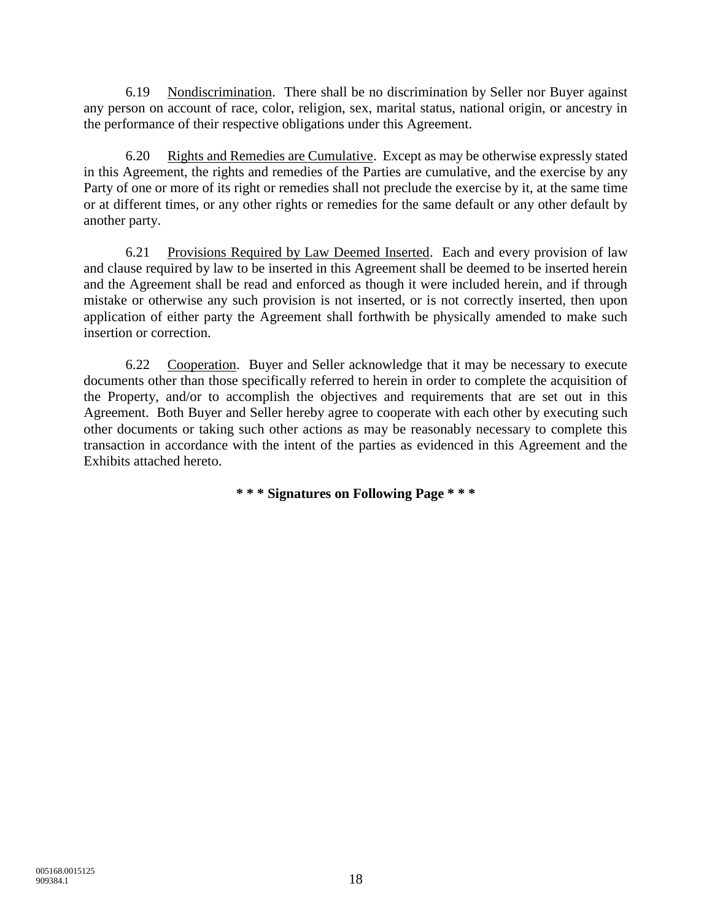6.19 Nondiscrimination. There shall be no discrimination by Seller nor Buyer against any person on account of race, color, religion, sex, marital status, national origin, or ancestry in the performance of their respective obligations under this Agreement.

6.20 Rights and Remedies are Cumulative. Except as may be otherwise expressly stated in this Agreement, the rights and remedies of the Parties are cumulative, and the exercise by any Party of one or more of its right or remedies shall not preclude the exercise by it, at the same time or at different times, or any other rights or remedies for the same default or any other default by another party.

6.21 Provisions Required by Law Deemed Inserted. Each and every provision of law and clause required by law to be inserted in this Agreement shall be deemed to be inserted herein and the Agreement shall be read and enforced as though it were included herein, and if through mistake or otherwise any such provision is not inserted, or is not correctly inserted, then upon application of either party the Agreement shall forthwith be physically amended to make such insertion or correction.

6.22 Cooperation. Buyer and Seller acknowledge that it may be necessary to execute documents other than those specifically referred to herein in order to complete the acquisition of the Property, and/or to accomplish the objectives and requirements that are set out in this Agreement. Both Buyer and Seller hereby agree to cooperate with each other by executing such other documents or taking such other actions as may be reasonably necessary to complete this transaction in accordance with the intent of the parties as evidenced in this Agreement and the Exhibits attached hereto.

**\* \* \* Signatures on Following Page \* \* \***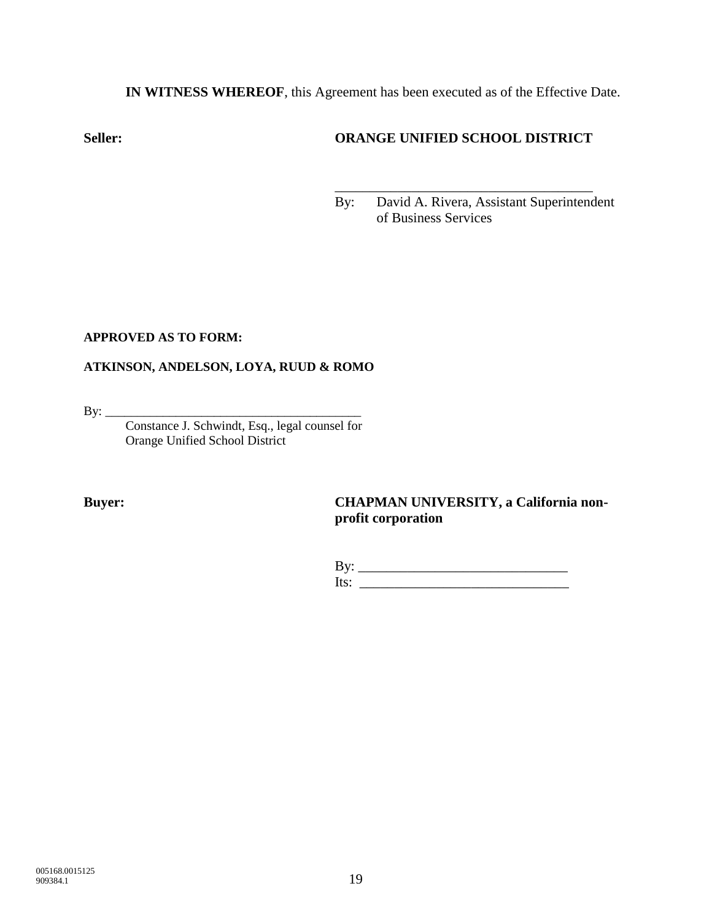**IN WITNESS WHEREOF**, this Agreement has been executed as of the Effective Date.

# **Seller: ORANGE UNIFIED SCHOOL DISTRICT**

\_\_\_\_\_\_\_\_\_\_\_\_\_\_\_\_\_\_\_\_\_\_\_\_\_\_\_\_\_\_\_\_\_\_\_\_\_

By: David A. Rivera, Assistant Superintendent of Business Services

### **APPROVED AS TO FORM:**

# **ATKINSON, ANDELSON, LOYA, RUUD & ROMO**

By: \_\_\_\_\_\_\_\_\_\_\_\_\_\_\_\_\_\_\_\_\_\_\_\_\_\_\_\_\_\_\_\_\_\_\_\_\_\_\_\_

Constance J. Schwindt, Esq., legal counsel for Orange Unified School District

### **Buyer: CHAPMAN UNIVERSITY, a California nonprofit corporation**

| Dy.    |  |
|--------|--|
| - ITST |  |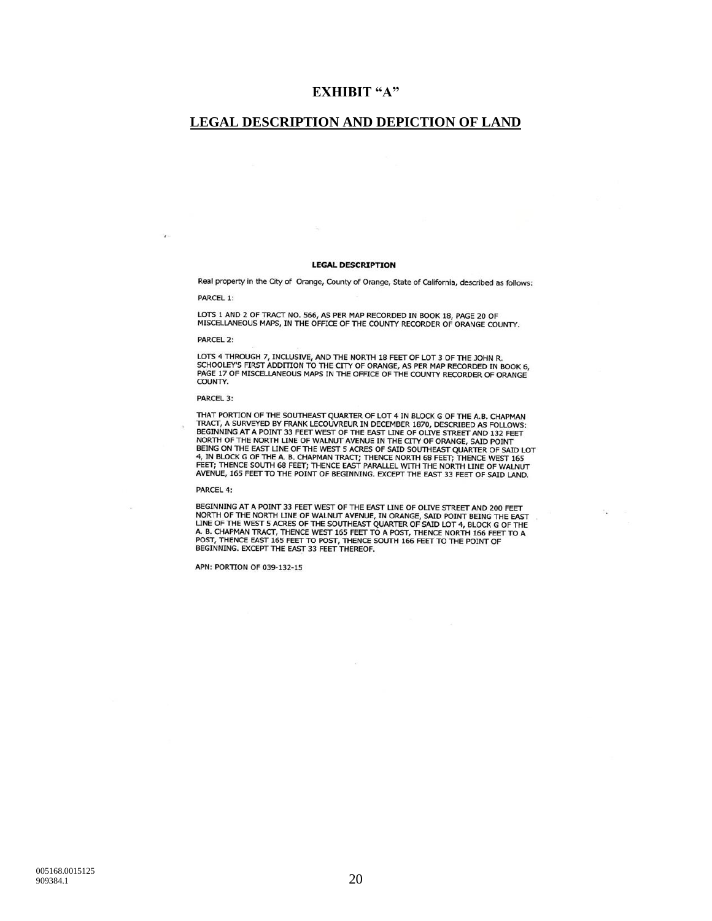### **EXHIBIT "A"**

### **LEGAL DESCRIPTION AND DEPICTION OF LAND**

#### **LEGAL DESCRIPTION**

Real property in the City of Orange, County of Orange, State of California, described as follows:

PARCEL 1:

 $\mathbf{v}$ 

LOTS 1 AND 2 OF TRACT NO. 566, AS PER MAP RECORDED IN BOOK 18, PAGE 20 OF<br>MISCELLANEOUS MAPS, IN THE OFFICE OF THE COUNTY RECORDER OF ORANGE COUNTY.

**PARCEL 2:** 

LOTS 4 THROUGH 7, INCLUSIVE, AND THE NORTH 18 FEET OF LOT 3 OF THE JOHN R. SCHOOLEY'S FIRST ADDITION TO THE CITY OF ORANGE, AS PER MAP RECORDED IN BOOK 6, PAGE 17 OF MISCELLANEOUS MAPS IN THE OFFICE OF THE COUNTY RECORDER OF ORANGE COUNTY.

#### **PARCEL 3:**

THAT PORTION OF THE SOUTHEAST QUARTER OF LOT 4 IN BLOCK G OF THE A.B. CHAPMAN THAT PORTION OF THE SOUTHEAST QUARTER OF LOT 4 IN BLOCK G OF THE A.B. CHAPMAN TRACT, A SURVEYED BY FRANK LECOUVREUR IN DECEMBER 1870, DESCRIBED AS FOLLOWS:<br>TEGINNING AT A POINT 33 FEET WEST OF THE EAST LINE OF OLIVE STREET

#### PARCEL 4:

BEGINNING AT A POINT 33 FEET WEST OF THE EAST LINE OF OLIVE STREET AND 200 FEET **NORTH OF THE NORTH LINE OF WALNUT AVENUE, IN ORANGE, SAID POINT BEIN 200 TEE EAST LINE OF THE WEST 5 ACRES OF THE SOUTHEAST QUARTER OF SAID LOT 4, BLOCK G OF THE A. B. CHAPMAN TRACT, THENCE WEST 165 FEET TO A POST, THENCE** 

APN: PORTION OF 039-132-15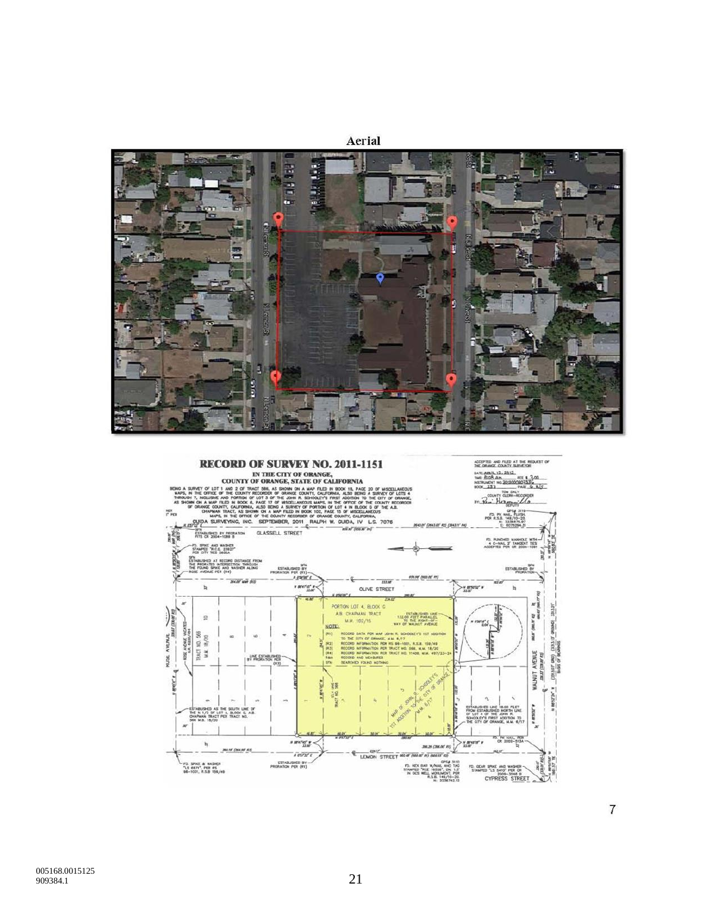



 $\overline{7}$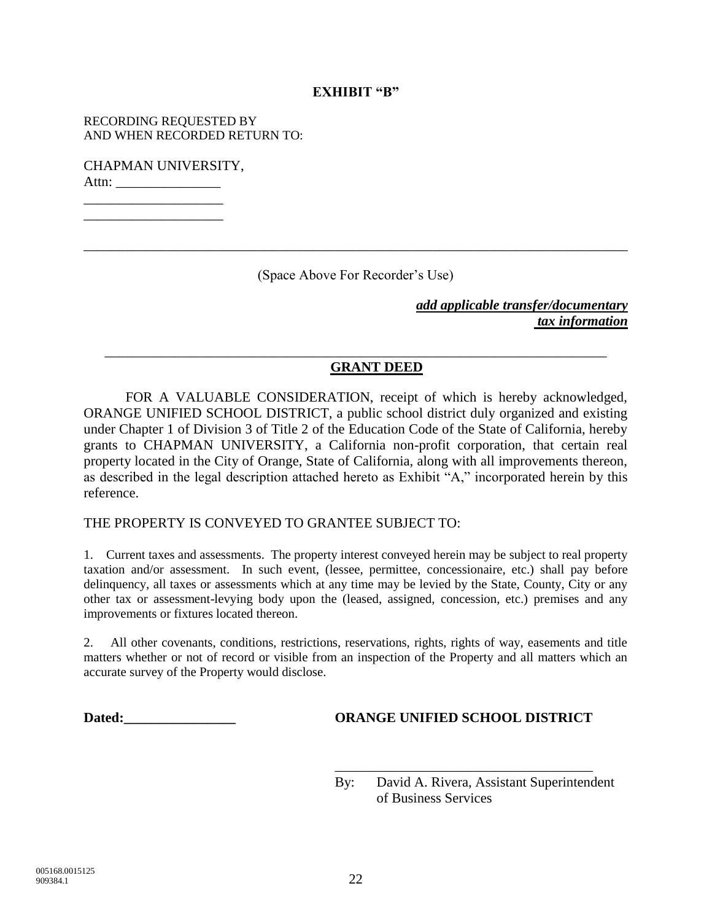### **EXHIBIT "B"**

RECORDING REQUESTED BY AND WHEN RECORDED RETURN TO:

CHAPMAN UNIVERSITY, Attn: \_\_\_\_\_\_\_\_\_\_\_\_\_\_\_

\_\_\_\_\_\_\_\_\_\_\_\_\_\_\_\_\_\_\_\_ \_\_\_\_\_\_\_\_\_\_\_\_\_\_\_\_\_\_\_\_

(Space Above For Recorder's Use)

\_\_\_\_\_\_\_\_\_\_\_\_\_\_\_\_\_\_\_\_\_\_\_\_\_\_\_\_\_\_\_\_\_\_\_\_\_\_\_\_\_\_\_\_\_\_\_\_\_\_\_\_\_\_\_\_\_\_\_\_\_\_\_\_\_\_\_\_\_\_\_\_

\_\_\_\_\_\_\_\_\_\_\_\_\_\_\_\_\_\_\_\_\_\_\_\_\_\_\_\_\_\_\_\_\_\_\_\_\_\_\_\_\_\_\_\_\_\_\_\_\_\_\_\_\_\_\_\_\_\_\_\_\_\_\_\_\_\_\_\_\_\_\_\_\_\_\_\_\_\_

*add applicable transfer/documentary tax information*

### **GRANT DEED**

FOR A VALUABLE CONSIDERATION, receipt of which is hereby acknowledged, ORANGE UNIFIED SCHOOL DISTRICT, a public school district duly organized and existing under Chapter 1 of Division 3 of Title 2 of the Education Code of the State of California, hereby grants to CHAPMAN UNIVERSITY, a California non-profit corporation, that certain real property located in the City of Orange, State of California, along with all improvements thereon, as described in the legal description attached hereto as Exhibit "A," incorporated herein by this reference.

### THE PROPERTY IS CONVEYED TO GRANTEE SUBJECT TO:

1. Current taxes and assessments. The property interest conveyed herein may be subject to real property taxation and/or assessment. In such event, (lessee, permittee, concessionaire, etc.) shall pay before delinquency, all taxes or assessments which at any time may be levied by the State, County, City or any other tax or assessment-levying body upon the (leased, assigned, concession, etc.) premises and any improvements or fixtures located thereon.

2. All other covenants, conditions, restrictions, reservations, rights, rights of way, easements and title matters whether or not of record or visible from an inspection of the Property and all matters which an accurate survey of the Property would disclose.

### **Dated:\_\_\_\_\_\_\_\_\_\_\_\_\_\_\_\_ ORANGE UNIFIED SCHOOL DISTRICT**

\_\_\_\_\_\_\_\_\_\_\_\_\_\_\_\_\_\_\_\_\_\_\_\_\_\_\_\_\_\_\_\_\_\_\_\_\_

By: David A. Rivera, Assistant Superintendent of Business Services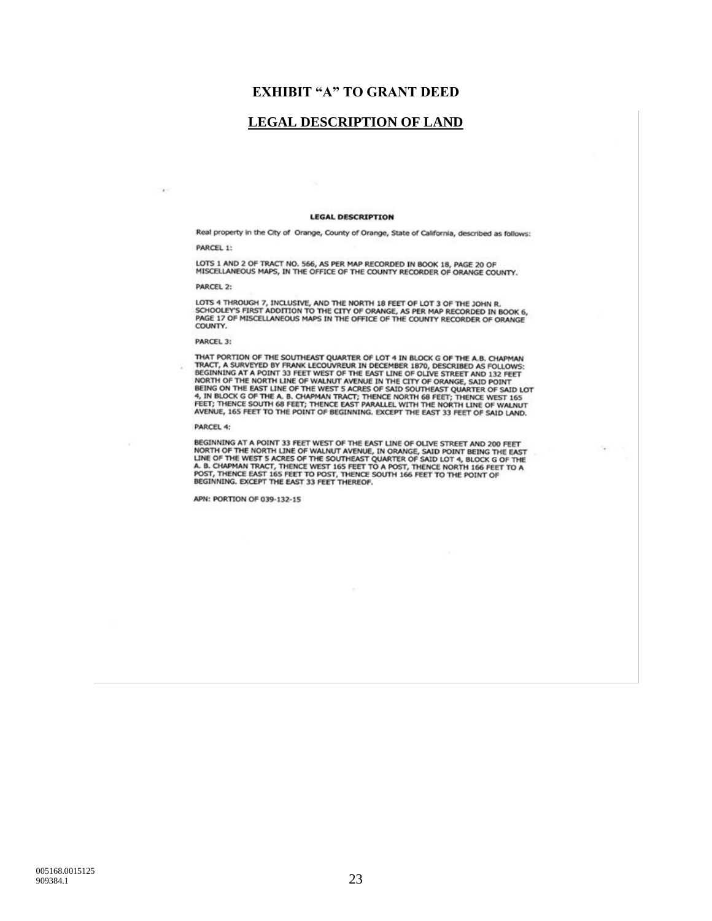### **EXHIBIT "A" TO GRANT DEED**

### **LEGAL DESCRIPTION OF LAND**

 $\mathcal{A}$  .

#### **LEGAL DESCRIPTION**

Real property in the City of Orange, County of Orange, State of California, described as follows: PARCEL 1:

LOTS 1 AND 2 OF TRACT NO. 566, AS PER MAP RECORDED IN BOOK 18, PAGE 20 OF MISCELLANEOUS MAPS, IN THE OFFICE OF THE COUNTY RECORDER OF ORANGE COUNTY.

PARCEL 2:

LOTS 4 THROUGH 7, INCLUSIVE, AND THE NORTH 18 FEET OF LOT 3 OF THE JOHN R.<br>SCHOOLEY'S FIRST ADDITION TO THE CITY OF ORANGE, AS PER MAP RECORDED IN BOOK 6,<br>PAGE 17 OF MISCELLANEOUS MAPS IN THE OFFICE OF THE COUNTY RECORDER

PARCEL 3:

THAT PORTION OF THE SOUTHEAST QUARTER OF LOT 4 IN BLOCK G OF THE A.B. CHAPMAN TRACT, A SURVEYED BY FRANK LECOUVREUR IN DECEMBER 1870, DESCRIBED AS FOLLOWS:<br>BEGINNING AT A POINT 33 FEET WEST OF THE EAST LINE OF OLIVE STREET

PARCEL 4:

BEGINNING AT A POINT 33 FEET WEST OF THE EAST LINE OF OLIVE STREET AND 200 FEET NORTH OF THE NORTH LINE OF WALNUT AVENUE, IN ORANGE, SAID POINT BEING THE EAST LINE OF THE A. B. CHAPMAN TRACT, THENCE WEST 16 A DOCK OF THE A

 $\mathcal{F}$ 

APN: PORTION OF 039-132-15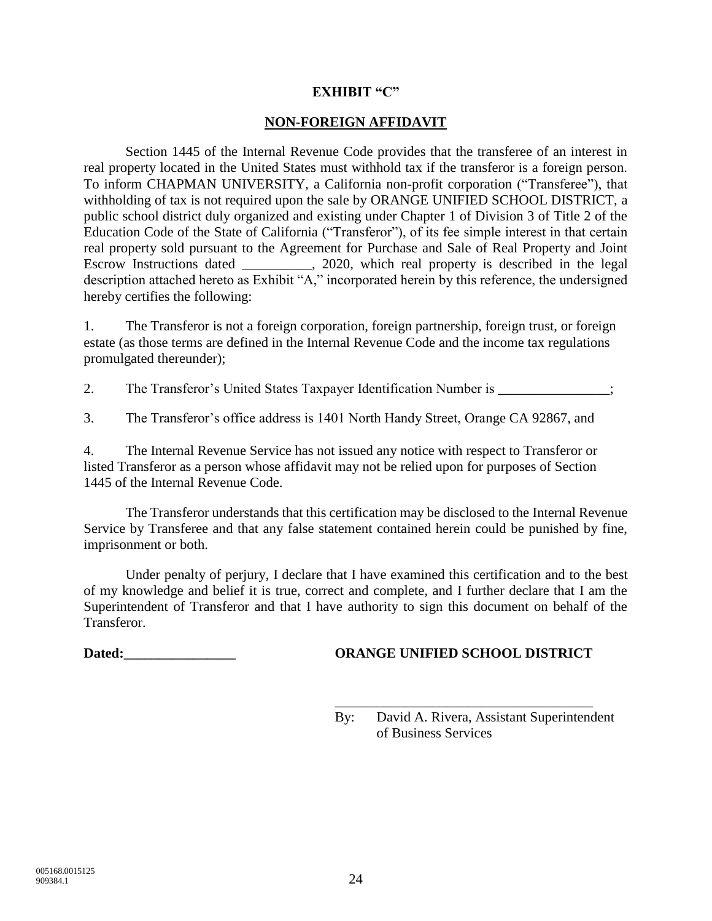### **EXHIBIT "C"**

### **NON-FOREIGN AFFIDAVIT**

Section 1445 of the Internal Revenue Code provides that the transferee of an interest in real property located in the United States must withhold tax if the transferor is a foreign person. To inform CHAPMAN UNIVERSITY, a California non-profit corporation ("Transferee"), that withholding of tax is not required upon the sale by ORANGE UNIFIED SCHOOL DISTRICT, a public school district duly organized and existing under Chapter 1 of Division 3 of Title 2 of the Education Code of the State of California ("Transferor"), of its fee simple interest in that certain real property sold pursuant to the Agreement for Purchase and Sale of Real Property and Joint Escrow Instructions dated \_\_\_\_\_\_\_\_\_\_, 2020, which real property is described in the legal description attached hereto as Exhibit "A," incorporated herein by this reference, the undersigned hereby certifies the following:

1. The Transferor is not a foreign corporation, foreign partnership, foreign trust, or foreign estate (as those terms are defined in the Internal Revenue Code and the income tax regulations promulgated thereunder);

2. The Transferor's United States Taxpayer Identification Number is \_\_\_\_\_\_\_\_\_\_\_\_\_\_;

3. The Transferor's office address is 1401 North Handy Street, Orange CA 92867, and

4. The Internal Revenue Service has not issued any notice with respect to Transferor or listed Transferor as a person whose affidavit may not be relied upon for purposes of Section 1445 of the Internal Revenue Code.

The Transferor understands that this certification may be disclosed to the Internal Revenue Service by Transferee and that any false statement contained herein could be punished by fine, imprisonment or both.

Under penalty of perjury, I declare that I have examined this certification and to the best of my knowledge and belief it is true, correct and complete, and I further declare that I am the Superintendent of Transferor and that I have authority to sign this document on behalf of the Transferor.

### **Dated:\_\_\_\_\_\_\_\_\_\_\_\_\_\_\_\_ ORANGE UNIFIED SCHOOL DISTRICT**

\_\_\_\_\_\_\_\_\_\_\_\_\_\_\_\_\_\_\_\_\_\_\_\_\_\_\_\_\_\_\_\_\_\_\_\_\_

By: David A. Rivera, Assistant Superintendent of Business Services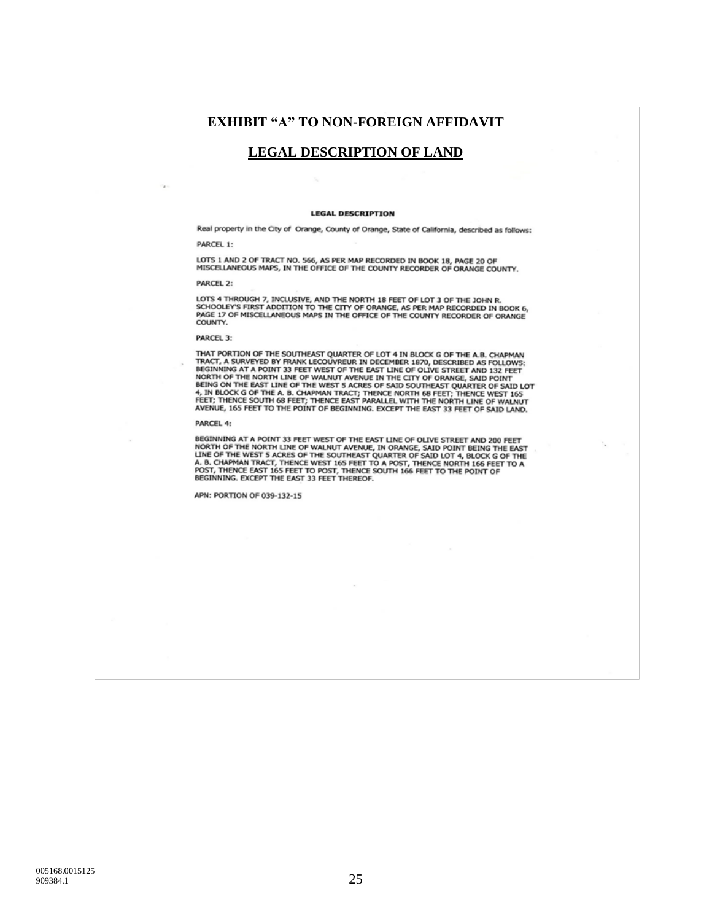### **EXHIBIT "A" TO NON-FOREIGN AFFIDAVIT**

### **LEGAL DESCRIPTION OF LAND**

#### **LEGAL DESCRIPTION**

Real property in the City of Orange, County of Orange, State of California, described as follows: PARCEL 1:

LOTS 1 AND 2 OF TRACT NO. 566, AS PER MAP RECORDED IN BOOK 18, PAGE 20 OF<br>MISCELLANEOUS MAPS, IN THE OFFICE OF THE COUNTY RECORDER OF ORANGE COUNTY.

PARCEL 2:

×.

LOTS 4 THROUGH 7, INCLUSIVE, AND THE NORTH 18 FEET OF LOT 3 OF THE JOHN R.<br>SCHOOLEY'S FIRST ADDITION TO THE CITY OF ORANGE, AS PER MAP RECORDED IN BOOK 6,<br>PAGE 17 OF MISCELLANEOUS MAPS IN THE OFFICE OF THE COUNTY RECORDER COUNTY.

PARCEL 3:

THAT PORTION OF THE SOUTHEAST QUARTER OF LOT 4 IN BLOCK G OF THE A.B. CHAPMAN TRACT, A SURVEYED BY FRANK LECOUVREUR IN DECEMBER 1870, DESCRIBED AS FOLLOWS:<br>BEGINNING AT A POINT 33 FEET WEST OF THE EAST LINE OF OLIVE STREET AVENUE, 165 FEET TO THE POINT OF BEGINNING. EXCEPT THE EAST 33 FEET OF SAID LAND.

#### PARCEL 4:

BEGINNING AT A POINT 33 FEET WEST OF THE EAST LINE OF OLIVE STREET AND 200 FEET BOSININING AT A POINT 33 FEET WEST OF THE EAST LINE OF THE NORTH LINE OF THE NORTH LINE OF WALNUT AVENUE, IN ORANGE, SAID POINT BEING THE EAST LINE OF THE NORTH LINE OF THE SOUTHEAST QUARTER OF SAID LOT 4, BLOCK G OF THE A

п.,

APN: PORTION OF 039-132-15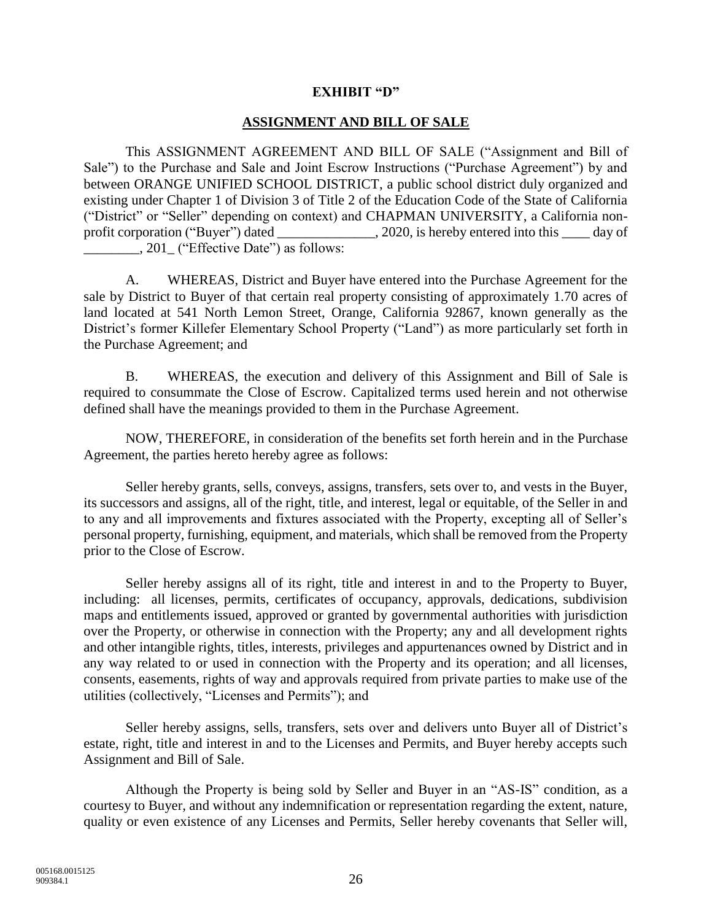### **EXHIBIT "D"**

### **ASSIGNMENT AND BILL OF SALE**

This ASSIGNMENT AGREEMENT AND BILL OF SALE ("Assignment and Bill of Sale") to the Purchase and Sale and Joint Escrow Instructions ("Purchase Agreement") by and between ORANGE UNIFIED SCHOOL DISTRICT, a public school district duly organized and existing under Chapter 1 of Division 3 of Title 2 of the Education Code of the State of California ("District" or "Seller" depending on context) and CHAPMAN UNIVERSITY, a California nonprofit corporation ("Buyer") dated 2020, is hereby entered into this day of \_\_\_\_\_\_\_\_, 201\_ ("Effective Date") as follows:

A. WHEREAS, District and Buyer have entered into the Purchase Agreement for the sale by District to Buyer of that certain real property consisting of approximately 1.70 acres of land located at 541 North Lemon Street, Orange, California 92867, known generally as the District's former Killefer Elementary School Property ("Land") as more particularly set forth in the Purchase Agreement; and

B. WHEREAS, the execution and delivery of this Assignment and Bill of Sale is required to consummate the Close of Escrow. Capitalized terms used herein and not otherwise defined shall have the meanings provided to them in the Purchase Agreement.

NOW, THEREFORE, in consideration of the benefits set forth herein and in the Purchase Agreement, the parties hereto hereby agree as follows:

Seller hereby grants, sells, conveys, assigns, transfers, sets over to, and vests in the Buyer, its successors and assigns, all of the right, title, and interest, legal or equitable, of the Seller in and to any and all improvements and fixtures associated with the Property, excepting all of Seller's personal property, furnishing, equipment, and materials, which shall be removed from the Property prior to the Close of Escrow.

Seller hereby assigns all of its right, title and interest in and to the Property to Buyer, including: all licenses, permits, certificates of occupancy, approvals, dedications, subdivision maps and entitlements issued, approved or granted by governmental authorities with jurisdiction over the Property, or otherwise in connection with the Property; any and all development rights and other intangible rights, titles, interests, privileges and appurtenances owned by District and in any way related to or used in connection with the Property and its operation; and all licenses, consents, easements, rights of way and approvals required from private parties to make use of the utilities (collectively, "Licenses and Permits"); and

Seller hereby assigns, sells, transfers, sets over and delivers unto Buyer all of District's estate, right, title and interest in and to the Licenses and Permits, and Buyer hereby accepts such Assignment and Bill of Sale.

Although the Property is being sold by Seller and Buyer in an "AS-IS" condition, as a courtesy to Buyer, and without any indemnification or representation regarding the extent, nature, quality or even existence of any Licenses and Permits, Seller hereby covenants that Seller will,